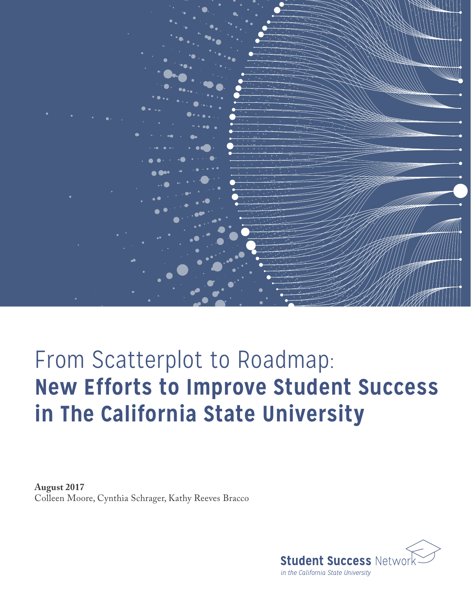

# From Scatterplot to Roadmap: **New Efforts to Improve Student Success in The California State University**

**August 2017** Colleen Moore, Cynthia Schrager, Kathy Reeves Bracco

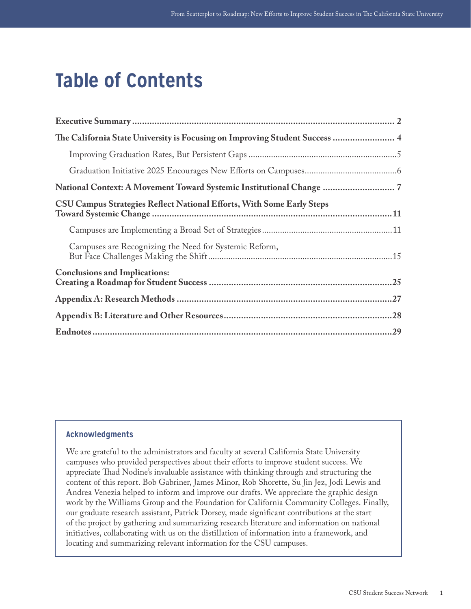## **Table of Contents**

| The California State University is Focusing on Improving Student Success  4 |
|-----------------------------------------------------------------------------|
|                                                                             |
|                                                                             |
| National Context: A Movement Toward Systemic Institutional Change  7        |
| CSU Campus Strategies Reflect National Efforts, With Some Early Steps       |
|                                                                             |
| Campuses are Recognizing the Need for Systemic Reform,                      |
| <b>Conclusions and Implications:</b>                                        |
|                                                                             |
|                                                                             |
|                                                                             |

#### **Acknowledgments**

We are grateful to the administrators and faculty at several California State University campuses who provided perspectives about their efforts to improve student success. We appreciate Thad Nodine's invaluable assistance with thinking through and structuring the content of this report. Bob Gabriner, James Minor, Rob Shorette, Su Jin Jez, Jodi Lewis and Andrea Venezia helped to inform and improve our drafts. We appreciate the graphic design work by the Williams Group and the Foundation for California Community Colleges. Finally, our graduate research assistant, Patrick Dorsey, made significant contributions at the start of the project by gathering and summarizing research literature and information on national initiatives, collaborating with us on the distillation of information into a framework, and locating and summarizing relevant information for the CSU campuses.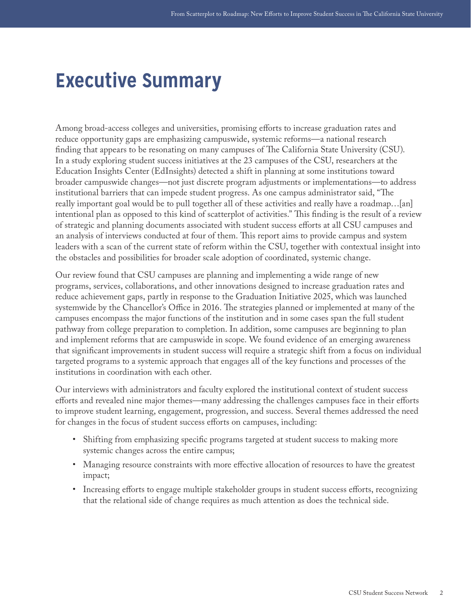## <span id="page-2-0"></span>**Executive Summary**

Among broad-access colleges and universities, promising efforts to increase graduation rates and reduce opportunity gaps are emphasizing campuswide, systemic reforms—a national research finding that appears to be resonating on many campuses of The California State University (CSU). In a study exploring student success initiatives at the 23 campuses of the CSU, researchers at the Education Insights Center (EdInsights) detected a shift in planning at some institutions toward broader campuswide changes—not just discrete program adjustments or implementations—to address institutional barriers that can impede student progress. As one campus administrator said, "The really important goal would be to pull together all of these activities and really have a roadmap…[an] intentional plan as opposed to this kind of scatterplot of activities." This finding is the result of a review of strategic and planning documents associated with student success efforts at all CSU campuses and an analysis of interviews conducted at four of them. This report aims to provide campus and system leaders with a scan of the current state of reform within the CSU, together with contextual insight into the obstacles and possibilities for broader scale adoption of coordinated, systemic change.

Our review found that CSU campuses are planning and implementing a wide range of new programs, services, collaborations, and other innovations designed to increase graduation rates and reduce achievement gaps, partly in response to the Graduation Initiative 2025, which was launched systemwide by the Chancellor's Office in 2016. The strategies planned or implemented at many of the campuses encompass the major functions of the institution and in some cases span the full student pathway from college preparation to completion. In addition, some campuses are beginning to plan and implement reforms that are campuswide in scope. We found evidence of an emerging awareness that significant improvements in student success will require a strategic shift from a focus on individual targeted programs to a systemic approach that engages all of the key functions and processes of the institutions in coordination with each other.

Our interviews with administrators and faculty explored the institutional context of student success efforts and revealed nine major themes—many addressing the challenges campuses face in their efforts to improve student learning, engagement, progression, and success. Several themes addressed the need for changes in the focus of student success efforts on campuses, including:

- Shifting from emphasizing specific programs targeted at student success to making more systemic changes across the entire campus;
- Managing resource constraints with more effective allocation of resources to have the greatest impact;
- Increasing efforts to engage multiple stakeholder groups in student success efforts, recognizing that the relational side of change requires as much attention as does the technical side.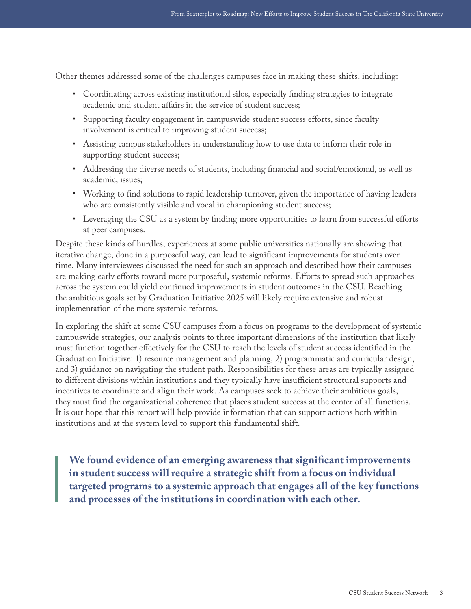Other themes addressed some of the challenges campuses face in making these shifts, including:

- Coordinating across existing institutional silos, especially finding strategies to integrate academic and student affairs in the service of student success;
- Supporting faculty engagement in campuswide student success efforts, since faculty involvement is critical to improving student success;
- Assisting campus stakeholders in understanding how to use data to inform their role in supporting student success;
- Addressing the diverse needs of students, including financial and social/emotional, as well as academic, issues;
- Working to find solutions to rapid leadership turnover, given the importance of having leaders who are consistently visible and vocal in championing student success;
- Leveraging the CSU as a system by finding more opportunities to learn from successful efforts at peer campuses.

Despite these kinds of hurdles, experiences at some public universities nationally are showing that iterative change, done in a purposeful way, can lead to significant improvements for students over time. Many interviewees discussed the need for such an approach and described how their campuses are making early efforts toward more purposeful, systemic reforms. Efforts to spread such approaches across the system could yield continued improvements in student outcomes in the CSU. Reaching the ambitious goals set by Graduation Initiative 2025 will likely require extensive and robust implementation of the more systemic reforms.

In exploring the shift at some CSU campuses from a focus on programs to the development of systemic campuswide strategies, our analysis points to three important dimensions of the institution that likely must function together effectively for the CSU to reach the levels of student success identified in the Graduation Initiative: 1) resource management and planning, 2) programmatic and curricular design, and 3) guidance on navigating the student path. Responsibilities for these areas are typically assigned to different divisions within institutions and they typically have insufficient structural supports and incentives to coordinate and align their work. As campuses seek to achieve their ambitious goals, they must find the organizational coherence that places student success at the center of all functions. It is our hope that this report will help provide information that can support actions both within institutions and at the system level to support this fundamental shift.

**We found evidence of an emerging awareness that significant improvements in student success will require a strategic shift from a focus on individual targeted programs to a systemic approach that engages all of the key functions and processes of the institutions in coordination with each other.**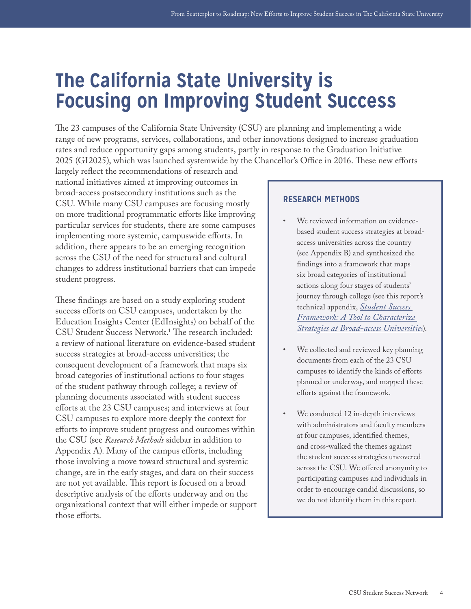## <span id="page-4-0"></span>**The California State University is Focusing on Improving Student Success**

The 23 campuses of the California State University (CSU) are planning and implementing a wide range of new programs, services, collaborations, and other innovations designed to increase graduation rates and reduce opportunity gaps among students, partly in response to the Graduation Initiative 2025 (GI2025), which was launched systemwide by the Chancellor's Office in 2016. These new efforts

largely reflect the recommendations of research and national initiatives aimed at improving outcomes in broad-access postsecondary institutions such as the CSU. While many CSU campuses are focusing mostly on more traditional programmatic efforts like improving particular services for students, there are some campuses implementing more systemic, campuswide efforts. In addition, there appears to be an emerging recognition across the CSU of the need for structural and cultural changes to address institutional barriers that can impede student progress.

These findings are based on a study exploring student success efforts on CSU campuses, undertaken by the Education Insights Center (EdInsights) on behalf of the CSU Student Success Network[.1](#page-29-1) The research included: a review of national literature on evidence-based student success strategies at broad-access universities; the consequent development of a framework that maps six broad categories of institutional actions to four stages of the student pathway through college; a review of planning documents associated with student success efforts at the 23 CSU campuses; and interviews at four CSU campuses to explore more deeply the context for efforts to improve student progress and outcomes within the CSU (see *Research Methods* sidebar in addition to Appendix A). Many of the campus efforts, including those involving a move toward structural and systemic change, are in the early stages, and data on their success are not yet available. This report is focused on a broad descriptive analysis of the efforts underway and on the organizational context that will either impede or support those efforts.

#### **RESEARCH METHODS**

- We reviewed information on evidencebased student success strategies at broadaccess universities across the country (see Appendix B) and synthesized the findings into a framework that maps six broad categories of institutional actions along four stages of students' journey through college (see this report's technical appendix, *[Student Success](http://csunetwork.edinsightscenter.org/Portals/2/Documents/Student_Success_Framework.pdf)  [Framework: A Tool to Characterize](http://csunetwork.edinsightscenter.org/Portals/2/Documents/Student_Success_Framework.pdf)  [Strategies at Broad-access Universities](http://csunetwork.edinsightscenter.org/Portals/2/Documents/Student_Success_Framework.pdf)*).
- We collected and reviewed key planning documents from each of the 23 CSU campuses to identify the kinds of efforts planned or underway, and mapped these efforts against the framework.
- We conducted 12 in-depth interviews with administrators and faculty members at four campuses, identified themes, and cross-walked the themes against the student success strategies uncovered across the CSU. We offered anonymity to participating campuses and individuals in order to encourage candid discussions, so we do not identify them in this report.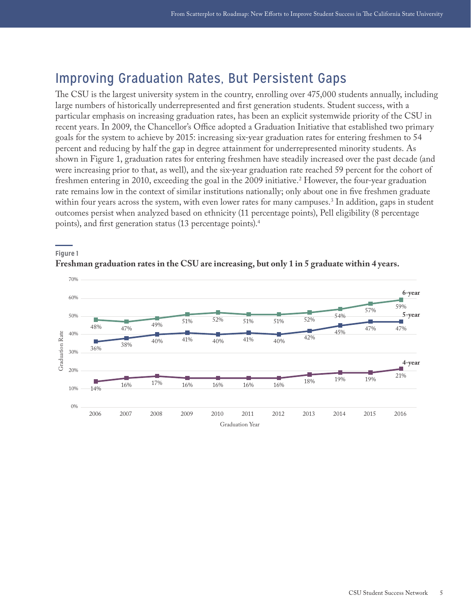### <span id="page-5-0"></span>Improving Graduation Rates, But Persistent Gaps

The CSU is the largest university system in the country, enrolling over 475,000 students annually, including large numbers of historically underrepresented and first generation students. Student success, with a particular emphasis on increasing graduation rates, has been an explicit systemwide priority of the CSU in recent years. In 2009, the Chancellor's Office adopted a Graduation Initiative that established two primary goals for the system to achieve by 2015: increasing six-year graduation rates for entering freshmen to 54 percent and reducing by half the gap in degree attainment for underrepresented minority students. As shown in Figure 1, graduation rates for entering freshmen have steadily increased over the past decade (and were increasing prior to that, as well), and the six-year graduation rate reached 59 percent for the cohort of freshmen entering in 2010, exceeding the goal in the 2009 initiative.[2](#page-29-2) However, the four-year graduation rate remains low in the context of similar institutions nationally; only about one in five freshmen graduate within four years across the system, with even lower rates for many campuses.[3](#page-29-3) In addition, gaps in student outcomes persist when analyzed based on ethnicity (11 percentage points), Pell eligibility (8 percentage points), and first generation status (13 percentage points).[4](#page-29-4)



#### **Freshman graduation rates in the CSU are increasing, but only 1 in 5 graduate within 4 years.**

**Figure 1**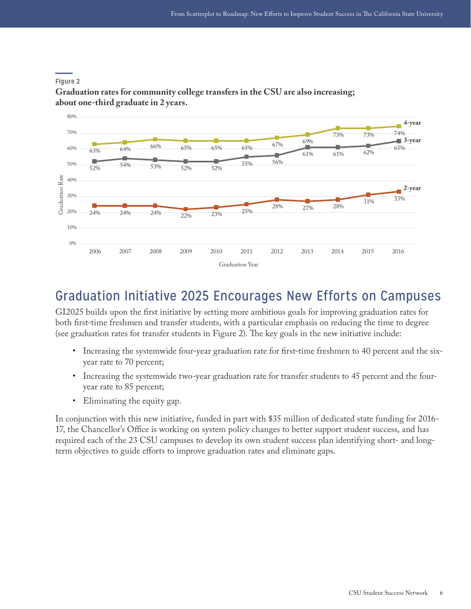

#### <span id="page-6-0"></span>**Figure 2**

**Graduation rates for community college transfers in the CSU are also increasing; about one-third graduate in 2 years.**

### Graduation Initiative 2025 Encourages New Efforts on Campuses

GI2025 builds upon the first initiative by setting more ambitious goals for improving graduation rates for both first-time freshmen and transfer students, with a particular emphasis on reducing the time to degree (see graduation rates for transfer students in Figure 2). The key goals in the new initiative include:

- Increasing the systemwide four-year graduation rate for first-time freshmen to 40 percent and the sixyear rate to 70 percent;
- Increasing the systemwide two-year graduation rate for transfer students to 45 percent and the fouryear rate to 85 percent;
- Eliminating the equity gap.

In conjunction with this new initiative, funded in part with \$35 million of dedicated state funding for 2016- 17, the Chancellor's Office is working on system policy changes to better support student success, and has required each of the 23 CSU campuses to develop its own student success plan identifying short- and longterm objectives to guide efforts to improve graduation rates and eliminate gaps.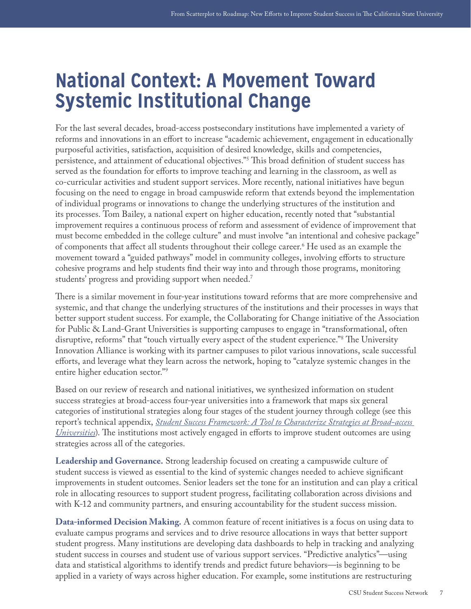## <span id="page-7-0"></span>**National Context: A Movement Toward Systemic Institutional Change**

For the last several decades, broad-access postsecondary institutions have implemented a variety of reforms and innovations in an effort to increase "academic achievement, engagement in educationally purposeful activities, satisfaction, acquisition of desired knowledge, skills and competencies, persistence, and attainment of educational objectives.["5](#page-29-5) This broad definition of student success has served as the foundation for efforts to improve teaching and learning in the classroom, as well as co-curricular activities and student support services. More recently, national initiatives have begun focusing on the need to engage in broad campuswide reform that extends beyond the implementation of individual programs or innovations to change the underlying structures of the institution and its processes. Tom Bailey, a national expert on higher education, recently noted that "substantial improvement requires a continuous process of reform and assessment of evidence of improvement that must become embedded in the college culture" and must involve "an intentional and cohesive package" of components that affect all students throughout their college career[.6](#page-29-6) He used as an example the movement toward a "guided pathways" model in community colleges, involving efforts to structure cohesive programs and help students find their way into and through those programs, monitoring students' progress and providing support when needed[.7](#page-29-7)

There is a similar movement in four-year institutions toward reforms that are more comprehensive and systemic, and that change the underlying structures of the institutions and their processes in ways that better support student success. For example, the Collaborating for Change initiative of the Association for Public & Land-Grant Universities is supporting campuses to engage in "transformational, often disruptive, reforms" that "touch virtually every aspect of the student experience.["8](#page-29-8) The University Innovation Alliance is working with its partner campuses to pilot various innovations, scale successful efforts, and leverage what they learn across the network, hoping to "catalyze systemic changes in the entire higher education sector."[9](#page-29-9)

Based on our review of research and national initiatives, we synthesized information on student success strategies at broad-access four-year universities into a framework that maps six general categories of institutional strategies along four stages of the student journey through college (see this report's technical appendix, *[Student Success Framework: A Tool to Characterize Strategies at Broad-access](http://csunetwork.edinsightscenter.org/Portals/2/Documents/Student_Success_Framework.pdf)  [Universities](http://csunetwork.edinsightscenter.org/Portals/2/Documents/Student_Success_Framework.pdf)*). The institutions most actively engaged in efforts to improve student outcomes are using strategies across all of the categories.

**Leadership and Governance.** Strong leadership focused on creating a campuswide culture of student success is viewed as essential to the kind of systemic changes needed to achieve significant improvements in student outcomes. Senior leaders set the tone for an institution and can play a critical role in allocating resources to support student progress, facilitating collaboration across divisions and with K-12 and community partners, and ensuring accountability for the student success mission.

**Data-informed Decision Making.** A common feature of recent initiatives is a focus on using data to evaluate campus programs and services and to drive resource allocations in ways that better support student progress. Many institutions are developing data dashboards to help in tracking and analyzing student success in courses and student use of various support services. "Predictive analytics"—using data and statistical algorithms to identify trends and predict future behaviors—is beginning to be applied in a variety of ways across higher education. For example, some institutions are restructuring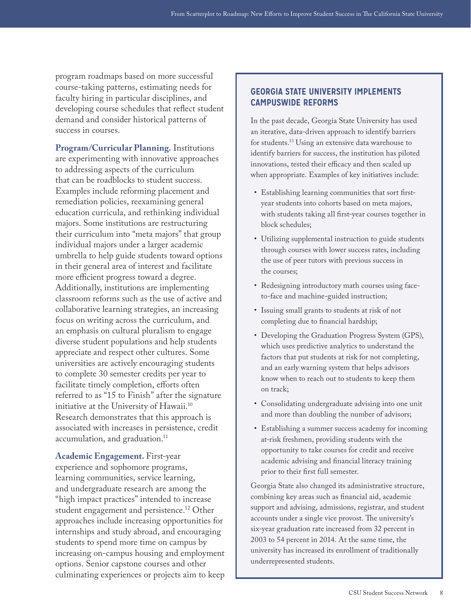program roadmaps based on more successful course-taking patterns, estimating needs for faculty hiring in particular disciplines, and developing course schedules that reflect student demand and consider historical patterns of success in courses.

**Program/Curricular Planning.** Institutions are experimenting with innovative approaches to addressing aspects of the curriculum that can be roadblocks to student success. Examples include reforming placement and remediation policies, reexamining general education curricula, and rethinking individual majors. Some institutions are restructuring their curriculum into "meta majors" that group individual majors under a larger academic umbrella to help guide students toward options in their general area of interest and facilitate more efficient progress toward a degree. Additionally, institutions are implementing classroom reforms such as the use of active and collaborative learning strategies, an increasing focus on writing across the curriculum, and an emphasis on cultural pluralism to engage diverse student populations and help students appreciate and respect other cultures. Some universities are actively encouraging students to complete 30 semester credits per year to facilitate timely completion, efforts often referred to as "15 to Finish" after the signature initiative at the University of Hawaii.<sup>10</sup> Research demonstrates that this approach is associated with increases in persistence, credit accumulation, and graduation.<sup>11</sup>

**Academic Engagement.** First-year experience and sophomore programs, learning communities, service learning, and undergraduate research are among the "high impact practices" intended to increase student engagement and persistence.<sup>12</sup> Other approaches include increasing opportunities for internships and study abroad, and encouraging students to spend more time on campus by increasing on-campus housing and employment options. Senior capstone courses and other culminating experiences or projects aim to keep

#### **GEORGIA STATE UNIVERSITY IMPLEMENTS CAMPUSWIDE REFORMS**

In the past decade, Georgia State University has used an iterative, data-driven approach to identify barriers for students.<sup>13</sup> Using an extensive data warehouse to identify barriers for success, the institution has piloted innovations, tested their efficacy and then scaled up when appropriate. Examples of key initiatives include:

- Establishing learning communities that sort firstyear students into cohorts based on meta majors, with students taking all first-year courses together in block schedules;
- Utilizing supplemental instruction to guide students through courses with lower success rates, including the use of peer tutors with previous success in the courses;
- Redesigning introductory math courses using faceto-face and machine-guided instruction;
- Issuing small grants to students at risk of not completing due to financial hardship;
- Developing the Graduation Progress System (GPS), which uses predictive analytics to understand the factors that put students at risk for not completing, and an early warning system that helps advisors know when to reach out to students to keep them on track;
- Consolidating undergraduate advising into one unit and more than doubling the number of advisors;
- Establishing a summer success academy for incoming at-risk freshmen, providing students with the opportunity to take courses for credit and receive academic advising and financial literacy training prior to their first full semester.

Georgia State also changed its administrative structure, combining key areas such as financial aid, academic support and advising, admissions, registrar, and student accounts under a single vice provost. The university's six-year graduation rate increased from 32 percent in 2003 to 54 percent in 2014. At the same time, the university has increased its enrollment of traditionally underrepresented students.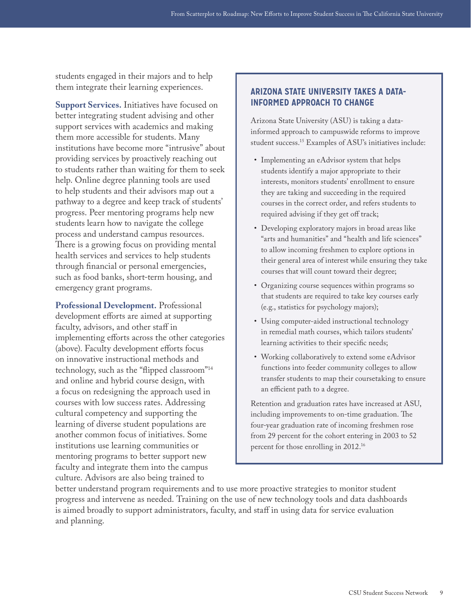students engaged in their majors and to help them integrate their learning experiences.

**Support Services.** Initiatives have focused on better integrating student advising and other support services with academics and making them more accessible for students. Many institutions have become more "intrusive" about providing services by proactively reaching out to students rather than waiting for them to seek help. Online degree planning tools are used to help students and their advisors map out a pathway to a degree and keep track of students' progress. Peer mentoring programs help new students learn how to navigate the college process and understand campus resources. There is a growing focus on providing mental health services and services to help students through financial or personal emergencies, such as food banks, short-term housing, and emergency grant programs.

**Professional Development.** Professional development efforts are aimed at supporting faculty, advisors, and other staff in implementing efforts across the other categories (above). Faculty development efforts focus on innovative instructional methods and technology, such as the "flipped classroom["14](#page-29-14) and online and hybrid course design, with a focus on redesigning the approach used in courses with low success rates. Addressing cultural competency and supporting the learning of diverse student populations are another common focus of initiatives. Some institutions use learning communities or mentoring programs to better support new faculty and integrate them into the campus culture. Advisors are also being trained to

#### **ARIZONA STATE UNIVERSITY TAKES A DATA-INFORMED APPROACH TO CHANGE**

Arizona State University (ASU) is taking a datainformed approach to campuswide reforms to improve student success.[15](#page-29-15) Examples of ASU's initiatives include:

- Implementing an eAdvisor system that helps students identify a major appropriate to their interests, monitors students' enrollment to ensure they are taking and succeeding in the required courses in the correct order, and refers students to required advising if they get off track;
- Developing exploratory majors in broad areas like "arts and humanities" and "health and life sciences" to allow incoming freshmen to explore options in their general area of interest while ensuring they take courses that will count toward their degree;
- Organizing course sequences within programs so that students are required to take key courses early (e.g., statistics for psychology majors);
- Using computer-aided instructional technology in remedial math courses, which tailors students' learning activities to their specific needs;
- Working collaboratively to extend some eAdvisor functions into feeder community colleges to allow transfer students to map their coursetaking to ensure an efficient path to a degree.

Retention and graduation rates have increased at ASU, including improvements to on-time graduation. The four-year graduation rate of incoming freshmen rose from 29 percent for the cohort entering in 2003 to 52 percent for those enrolling in 2012[.16](#page-29-16)

better understand program requirements and to use more proactive strategies to monitor student progress and intervene as needed. Training on the use of new technology tools and data dashboards is aimed broadly to support administrators, faculty, and staff in using data for service evaluation and planning.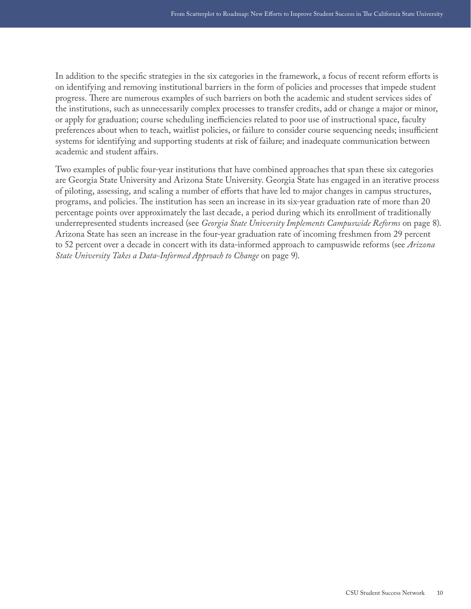In addition to the specific strategies in the six categories in the framework, a focus of recent reform efforts is on identifying and removing institutional barriers in the form of policies and processes that impede student progress. There are numerous examples of such barriers on both the academic and student services sides of the institutions, such as unnecessarily complex processes to transfer credits, add or change a major or minor, or apply for graduation; course scheduling inefficiencies related to poor use of instructional space, faculty preferences about when to teach, waitlist policies, or failure to consider course sequencing needs; insufficient systems for identifying and supporting students at risk of failure; and inadequate communication between academic and student affairs.

Two examples of public four-year institutions that have combined approaches that span these six categories are Georgia State University and Arizona State University. Georgia State has engaged in an iterative process of piloting, assessing, and scaling a number of efforts that have led to major changes in campus structures, programs, and policies. The institution has seen an increase in its six-year graduation rate of more than 20 percentage points over approximately the last decade, a period during which its enrollment of traditionally underrepresented students increased (see *Georgia State University Implements Campuswide Reforms* on page 8). Arizona State has seen an increase in the four-year graduation rate of incoming freshmen from 29 percent to 52 percent over a decade in concert with its data-informed approach to campuswide reforms (see *Arizona State University Takes a Data-Informed Approach to Change* on page 9).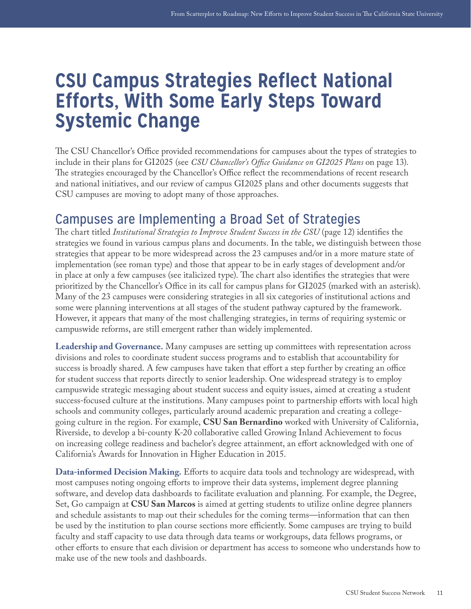## <span id="page-11-0"></span>**CSU Campus Strategies Reflect National Efforts, With Some Early Steps Toward Systemic Change**

The CSU Chancellor's Office provided recommendations for campuses about the types of strategies to include in their plans for GI2025 (see *CSU Chancellor's Office Guidance on GI2025 Plans* on page 13). The strategies encouraged by the Chancellor's Office reflect the recommendations of recent research and national initiatives, and our review of campus GI2025 plans and other documents suggests that CSU campuses are moving to adopt many of those approaches.

### Campuses are Implementing a Broad Set of Strategies

The chart titled *Institutional Strategies to Improve Student Success in the CSU* (page 12) identifies the strategies we found in various campus plans and documents. In the table, we distinguish between those strategies that appear to be more widespread across the 23 campuses and/or in a more mature state of implementation (see roman type) and those that appear to be in early stages of development and/or in place at only a few campuses (see italicized type). The chart also identifies the strategies that were prioritized by the Chancellor's Office in its call for campus plans for GI2025 (marked with an asterisk). Many of the 23 campuses were considering strategies in all six categories of institutional actions and some were planning interventions at all stages of the student pathway captured by the framework. However, it appears that many of the most challenging strategies, in terms of requiring systemic or campuswide reforms, are still emergent rather than widely implemented.

**Leadership and Governance.** Many campuses are setting up committees with representation across divisions and roles to coordinate student success programs and to establish that accountability for success is broadly shared. A few campuses have taken that effort a step further by creating an office for student success that reports directly to senior leadership. One widespread strategy is to employ campuswide strategic messaging about student success and equity issues, aimed at creating a student success-focused culture at the institutions. Many campuses point to partnership efforts with local high schools and community colleges, particularly around academic preparation and creating a collegegoing culture in the region. For example, **CSU San Bernardino** worked with University of California, Riverside, to develop a bi-county K-20 collaborative called Growing Inland Achievement to focus on increasing college readiness and bachelor's degree attainment, an effort acknowledged with one of California's Awards for Innovation in Higher Education in 2015.

**Data-informed Decision Making.** Efforts to acquire data tools and technology are widespread, with most campuses noting ongoing efforts to improve their data systems, implement degree planning software, and develop data dashboards to facilitate evaluation and planning. For example, the Degree, Set, Go campaign at **CSU San Marcos** is aimed at getting students to utilize online degree planners and schedule assistants to map out their schedules for the coming terms—information that can then be used by the institution to plan course sections more efficiently. Some campuses are trying to build faculty and staff capacity to use data through data teams or workgroups, data fellows programs, or other efforts to ensure that each division or department has access to someone who understands how to make use of the new tools and dashboards.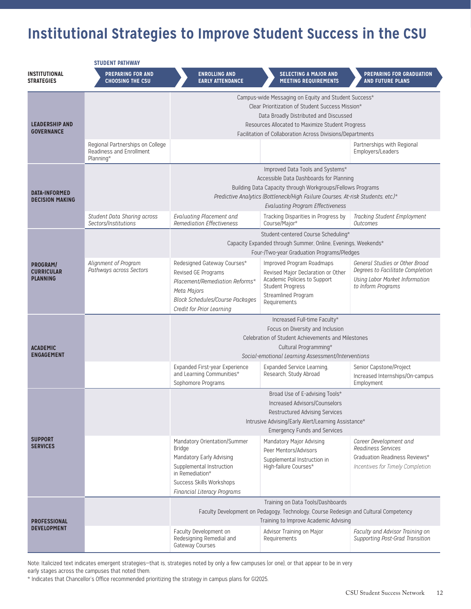## **Institutional Strategies to Improve Student Success in the CSU**

| <b>STUDENT PATHWAY</b>                           |                                                              |                                                                                                                                                                                                                                                                                                                                                                                                                                |                                                                                                                                                                   |                                                                                                                                   |  |
|--------------------------------------------------|--------------------------------------------------------------|--------------------------------------------------------------------------------------------------------------------------------------------------------------------------------------------------------------------------------------------------------------------------------------------------------------------------------------------------------------------------------------------------------------------------------|-------------------------------------------------------------------------------------------------------------------------------------------------------------------|-----------------------------------------------------------------------------------------------------------------------------------|--|
| <b>INSTITUTIONAL</b><br><b>STRATEGIES</b>        | <b>PREPARING FOR AND</b><br><b>CHOOSING THE CSU</b>          | <b>ENROLLING AND</b><br><b>EARLY ATTENDANCE</b>                                                                                                                                                                                                                                                                                                                                                                                | <b>SELECTING A MAJOR AND</b><br><b>MEETING REQUIREMENTS</b>                                                                                                       | PREPARING FOR GRADUATION<br><b>AND FUTURE PLANS</b>                                                                               |  |
| <b>LEADERSHIP AND</b><br><b>GOVERNANCE</b>       | Regional Partnerships on College<br>Readiness and Enrollment | Campus-wide Messaging on Equity and Student Success*<br>Clear Prioritization of Student Success Mission*<br>Data Broadly Distributed and Discussed<br>Resources Allocated to Maximize Student Progress<br>Facilitation of Collaboration Across Divisions/Departments<br>Partnerships with Regional<br>Employers/Leaders                                                                                                        |                                                                                                                                                                   |                                                                                                                                   |  |
| <b>DATA-INFORMED</b><br><b>DECISION MAKING</b>   | Planning*                                                    | Improved Data Tools and Systems*<br>Accessible Data Dashboards for Planning<br>Building Data Capacity through Workgroups/Fellows Programs<br>Predictive Analytics (Bottleneck/High Failure Courses, At-risk Students, etc.)*<br><b>Evaluating Program Effectiveness</b>                                                                                                                                                        |                                                                                                                                                                   |                                                                                                                                   |  |
|                                                  | Student Data Sharing across<br>Sectors/Institutions          | Evaluating Placement and<br><b>Remediation Effectiveness</b>                                                                                                                                                                                                                                                                                                                                                                   | Tracking Disparities in Progress by<br>Course/Major*                                                                                                              | Tracking Student Employment<br>Outcomes                                                                                           |  |
| PROGRAM/<br><b>CURRICULAR</b><br><b>PLANNING</b> |                                                              | Student-centered Course Scheduling*<br>Capacity Expanded through Summer, Online, Evenings, Weekends*<br>Four-/Two-year Graduation Programs/Pledges                                                                                                                                                                                                                                                                             |                                                                                                                                                                   |                                                                                                                                   |  |
|                                                  | Alignment of Program<br>Pathways across Sectors              | Redesigned Gateway Courses*<br>Revised GE Programs<br>Placement/Remediation Reforms*<br>Meta Majors<br><b>Block Schedules/Course Packages</b><br>Credit for Prior Learning                                                                                                                                                                                                                                                     | Improved Program Roadmaps<br>Revised Major Declaration or Other<br>Academic Policies to Support<br><b>Student Progress</b><br>Streamlined Program<br>Requirements | General Studies or Other Broad<br>Degrees to Facilitate Completion<br><b>Using Labor Market Information</b><br>to Inform Programs |  |
| <b>ACADEMIC</b><br><b>ENGAGEMENT</b>             |                                                              | Increased Full-time Faculty*<br>Focus on Diversity and Inclusion<br>Celebration of Student Achievements and Milestones<br>Cultural Programming*<br>Social-emotional Learning Assessment/Interventions<br>Senior Capstone/Project<br>Expanded First-year Experience<br>Expanded Service Learning,<br>and Learning Communities*<br>Research, Study Abroad<br>Increased Internships/On-campus<br>Sophomore Programs<br>Employment |                                                                                                                                                                   |                                                                                                                                   |  |
| <b>SUPPORT</b><br><b>SERVICES</b>                |                                                              | Broad Use of E-advising Tools*<br>Increased Advisors/Counselors<br><b>Restructured Advising Services</b><br>Intrusive Advising/Early Alert/Learning Assistance*<br><b>Emergency Funds and Services</b><br>Mandatory Major Advising<br>Career Development and<br>Mandatory Orientation/Summer                                                                                                                                   |                                                                                                                                                                   |                                                                                                                                   |  |
|                                                  |                                                              | Bridge<br>Mandatory Early Advising<br>Supplemental Instruction<br>in Remediation*<br>Success Skills Workshops<br>Financial Literacy Programs                                                                                                                                                                                                                                                                                   | Peer Mentors/Advisors<br>Supplemental Instruction in<br>High-failure Courses*                                                                                     | Readiness Services<br>Graduation Readiness Reviews*<br>Incentives for Timely Completion                                           |  |
| <b>PROFESSIONAL</b><br><b>DEVELOPMENT</b>        |                                                              | Training on Data Tools/Dashboards<br>Faculty Development on Pedagogy, Technology, Course Redesign and Cultural Competency<br>Training to Improve Academic Advising                                                                                                                                                                                                                                                             |                                                                                                                                                                   |                                                                                                                                   |  |
|                                                  |                                                              | Faculty Development on<br>Redesigning Remedial and<br>Gateway Courses                                                                                                                                                                                                                                                                                                                                                          | Advisor Training on Major<br>Requirements                                                                                                                         | Faculty and Advisor Training on<br>Supporting Post-Grad Transition                                                                |  |

Note: Italicized text indicates emergent strategies-that is, strategies noted by only a few campuses (or one), or that appear to be in very early stages across the campuses that noted them.

\* Indicates that Chancellor's Office recommended prioritizing the strategy in campus plans for GI2025.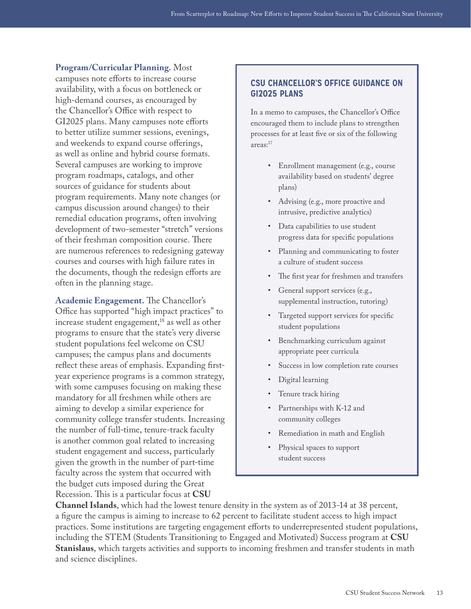**Program/Curricular Planning.** Most campuses note efforts to increase course availability, with a focus on bottleneck or high-demand courses, as encouraged by the Chancellor's Office with respect to GI2025 plans. Many campuses note efforts to better utilize summer sessions, evenings, and weekends to expand course offerings, as well as online and hybrid course formats. Several campuses are working to improve program roadmaps, catalogs, and other sources of guidance for students about program requirements. Many note changes (or campus discussion around changes) to their remedial education programs, often involving development of two-semester "stretch" versions of their freshman composition course. There are numerous references to redesigning gateway courses and courses with high failure rates in the documents, though the redesign efforts are often in the planning stage.

**Academic Engagement.** The Chancellor's Office has supported "high impact practices" to increase student engagement,<sup>18</sup> as well as other programs to ensure that the state's very diverse student populations feel welcome on CSU campuses; the campus plans and documents reflect these areas of emphasis. Expanding firstyear experience programs is a common strategy, with some campuses focusing on making these mandatory for all freshmen while others are aiming to develop a similar experience for community college transfer students. Increasing the number of full-time, tenure-track faculty is another common goal related to increasing student engagement and success, particularly given the growth in the number of part-time faculty across the system that occurred with the budget cuts imposed during the Great Recession. This is a particular focus at **CSU** 

#### **CSU CHANCELLOR'S OFFICE GUIDANCE ON GI2025 PLANS**

In a memo to campuses, the Chancellor's Office encouraged them to include plans to strengthen processes for at least five or six of the following areas:[17](#page-29-18)

- Enrollment management (e.g., course availability based on students' degree plans)
- Advising (e.g., more proactive and intrusive, predictive analytics)
- Data capabilities to use student progress data for specific populations
- Planning and communicating to foster a culture of student success
- The first year for freshmen and transfers
- General support services (e.g., supplemental instruction, tutoring)
- Targeted support services for specific student populations
- Benchmarking curriculum against appropriate peer curricula
- Success in low completion rate courses
- Digital learning
- Tenure track hiring
- Partnerships with K-12 and community colleges
- Remediation in math and English
- Physical spaces to support student success

**Channel Islands**, which had the lowest tenure density in the system as of 2013-14 at 38 percent, a figure the campus is aiming to increase to 62 percent to facilitate student access to high impact practices. Some institutions are targeting engagement efforts to underrepresented student populations, including the STEM (Students Transitioning to Engaged and Motivated) Success program at **CSU Stanislaus**, which targets activities and supports to incoming freshmen and transfer students in math and science disciplines.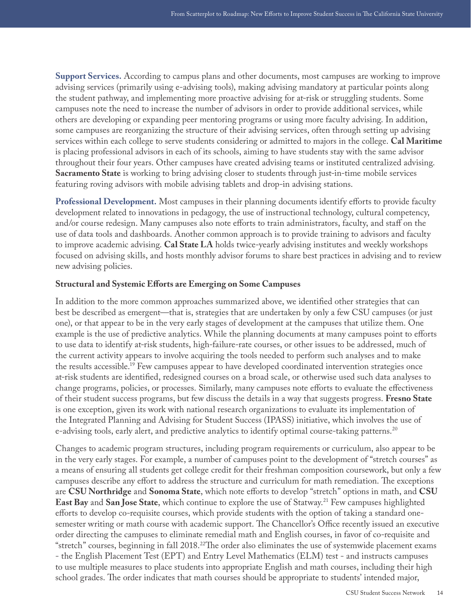**Support Services.** According to campus plans and other documents, most campuses are working to improve advising services (primarily using e-advising tools), making advising mandatory at particular points along the student pathway, and implementing more proactive advising for at-risk or struggling students. Some campuses note the need to increase the number of advisors in order to provide additional services, while others are developing or expanding peer mentoring programs or using more faculty advising. In addition, some campuses are reorganizing the structure of their advising services, often through setting up advising services within each college to serve students considering or admitted to majors in the college. **Cal Maritime** is placing professional advisors in each of its schools, aiming to have students stay with the same advisor throughout their four years. Other campuses have created advising teams or instituted centralized advising. **Sacramento State** is working to bring advising closer to students through just-in-time mobile services featuring roving advisors with mobile advising tablets and drop-in advising stations.

**Professional Development.** Most campuses in their planning documents identify efforts to provide faculty development related to innovations in pedagogy, the use of instructional technology, cultural competency, and/or course redesign. Many campuses also note efforts to train administrators, faculty, and staff on the use of data tools and dashboards. Another common approach is to provide training to advisors and faculty to improve academic advising. **Cal State LA** holds twice-yearly advising institutes and weekly workshops focused on advising skills, and hosts monthly advisor forums to share best practices in advising and to review new advising policies.

#### **Structural and Systemic Efforts are Emerging on Some Campuses**

In addition to the more common approaches summarized above, we identified other strategies that can best be described as emergent—that is, strategies that are undertaken by only a few CSU campuses (or just one), or that appear to be in the very early stages of development at the campuses that utilize them. One example is the use of predictive analytics. While the planning documents at many campuses point to efforts to use data to identify at-risk students, high-failure-rate courses, or other issues to be addressed, much of the current activity appears to involve acquiring the tools needed to perform such analyses and to make the results accessible[.19](#page-30-0) Few campuses appear to have developed coordinated intervention strategies once at-risk students are identified, redesigned courses on a broad scale, or otherwise used such data analyses to change programs, policies, or processes. Similarly, many campuses note efforts to evaluate the effectiveness of their student success programs, but few discuss the details in a way that suggests progress. **Fresno State** is one exception, given its work with national research organizations to evaluate its implementation of the Integrated Planning and Advising for Student Success (IPASS) initiative, which involves the use of e-advising tools, early alert, and predictive analytics to identify optimal course-taking patterns.<sup>[20](#page-30-1)</sup>

Changes to academic program structures, including program requirements or curriculum, also appear to be in the very early stages. For example, a number of campuses point to the development of "stretch courses" as a means of ensuring all students get college credit for their freshman composition coursework, but only a few campuses describe any effort to address the structure and curriculum for math remediation. The exceptions are **CSU Northridge** and **Sonoma State**, which note efforts to develop "stretch" options in math, and **CSU East Bay** and **San Jose State**, which continue to explore the use of Statway.<sup>21</sup> Few campuses highlighted efforts to develop co-requisite courses, which provide students with the option of taking a standard onesemester writing or math course with academic support. The Chancellor's Office recently issued an executive order directing the campuses to eliminate remedial math and English courses, in favor of co-requisite and "stretch" courses, beginning in fall 2018.<sup>[22](#page-30-3)</sup>The order also eliminates the use of systemwide placement exams - the English Placement Test (EPT) and Entry Level Mathematics (ELM) test - and instructs campuses to use multiple measures to place students into appropriate English and math courses, including their high school grades. The order indicates that math courses should be appropriate to students' intended major,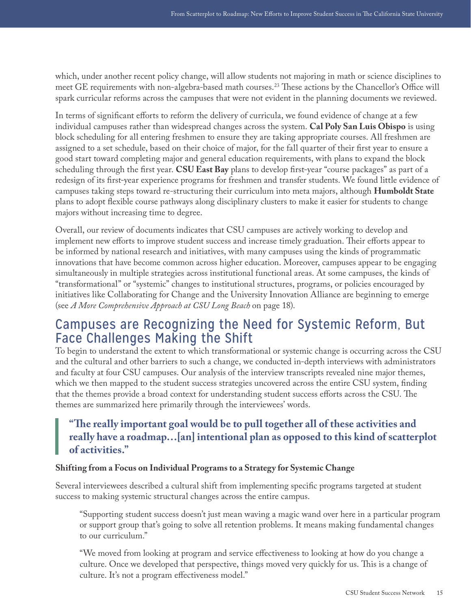<span id="page-15-0"></span>which, under another recent policy change, will allow students not majoring in math or science disciplines to meet GE requirements with non-algebra-based math courses.<sup>[23](#page-30-4)</sup> These actions by the Chancellor's Office will spark curricular reforms across the campuses that were not evident in the planning documents we reviewed.

In terms of significant efforts to reform the delivery of curricula, we found evidence of change at a few individual campuses rather than widespread changes across the system. **Cal Poly San Luis Obispo** is using block scheduling for all entering freshmen to ensure they are taking appropriate courses. All freshmen are assigned to a set schedule, based on their choice of major, for the fall quarter of their first year to ensure a good start toward completing major and general education requirements, with plans to expand the block scheduling through the first year. **CSU East Bay** plans to develop first-year "course packages" as part of a redesign of its first-year experience programs for freshmen and transfer students. We found little evidence of campuses taking steps toward re-structuring their curriculum into meta majors, although **Humboldt State** plans to adopt flexible course pathways along disciplinary clusters to make it easier for students to change majors without increasing time to degree.

Overall, our review of documents indicates that CSU campuses are actively working to develop and implement new efforts to improve student success and increase timely graduation. Their efforts appear to be informed by national research and initiatives, with many campuses using the kinds of programmatic innovations that have become common across higher education. Moreover, campuses appear to be engaging simultaneously in multiple strategies across institutional functional areas. At some campuses, the kinds of "transformational" or "systemic" changes to institutional structures, programs, or policies encouraged by initiatives like Collaborating for Change and the University Innovation Alliance are beginning to emerge (see *A More Comprehensive Approach at CSU Long Beach* on page 18).

### Campuses are Recognizing the Need for Systemic Reform, But Face Challenges Making the Shift

To begin to understand the extent to which transformational or systemic change is occurring across the CSU and the cultural and other barriers to such a change, we conducted in-depth interviews with administrators and faculty at four CSU campuses. Our analysis of the interview transcripts revealed nine major themes, which we then mapped to the student success strategies uncovered across the entire CSU system, finding that the themes provide a broad context for understanding student success efforts across the CSU. The themes are summarized here primarily through the interviewees' words.

### **"The really important goal would be to pull together all of these activities and really have a roadmap…[an] intentional plan as opposed to this kind of scatterplot of activities."**

#### **Shifting from a Focus on Individual Programs to a Strategy for Systemic Change**

Several interviewees described a cultural shift from implementing specific programs targeted at student success to making systemic structural changes across the entire campus.

"Supporting student success doesn't just mean waving a magic wand over here in a particular program or support group that's going to solve all retention problems. It means making fundamental changes to our curriculum."

"We moved from looking at program and service effectiveness to looking at how do you change a culture. Once we developed that perspective, things moved very quickly for us. This is a change of culture. It's not a program effectiveness model."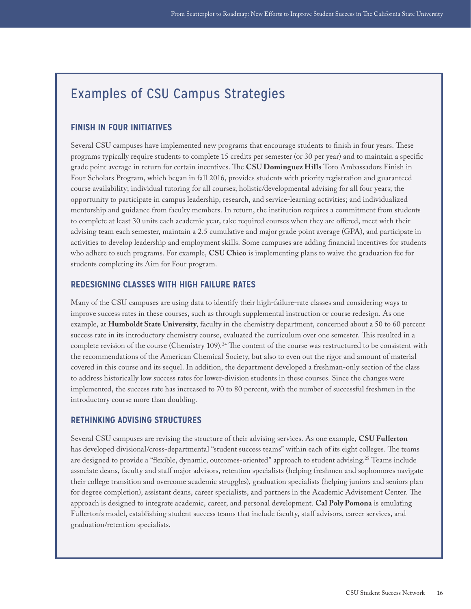### Examples of CSU Campus Strategies

#### **FINISH IN FOUR INITIATIVES**

Several CSU campuses have implemented new programs that encourage students to finish in four years. These programs typically require students to complete 15 credits per semester (or 30 per year) and to maintain a specific grade point average in return for certain incentives. The **CSU Dominguez Hills** Toro Ambassadors Finish in Four Scholars Program, which began in fall 2016, provides students with priority registration and guaranteed course availability; individual tutoring for all courses; holistic/developmental advising for all four years; the opportunity to participate in campus leadership, research, and service-learning activities; and individualized mentorship and guidance from faculty members. In return, the institution requires a commitment from students to complete at least 30 units each academic year, take required courses when they are offered, meet with their advising team each semester, maintain a 2.5 cumulative and major grade point average (GPA), and participate in activities to develop leadership and employment skills. Some campuses are adding financial incentives for students who adhere to such programs. For example, **CSU Chico** is implementing plans to waive the graduation fee for students completing its Aim for Four program.

#### **REDESIGNING CLASSES WITH HIGH FAILURE RATES**

Many of the CSU campuses are using data to identify their high-failure-rate classes and considering ways to improve success rates in these courses, such as through supplemental instruction or course redesign. As one example, at **Humboldt State University**, faculty in the chemistry department, concerned about a 50 to 60 percent success rate in its introductory chemistry course, evaluated the curriculum over one semester. This resulted in a complete revision of the course (Chemistry 109).<sup>24</sup> The content of the course was restructured to be consistent with the recommendations of the American Chemical Society, but also to even out the rigor and amount of material covered in this course and its sequel. In addition, the department developed a freshman-only section of the class to address historically low success rates for lower-division students in these courses. Since the changes were implemented, the success rate has increased to 70 to 80 percent, with the number of successful freshmen in the introductory course more than doubling.

#### **RETHINKING ADVISING STRUCTURES**

Several CSU campuses are revising the structure of their advising services. As one example, **CSU Fullerton** has developed divisional/cross-departmental "student success teams" within each of its eight colleges. The teams are designed to provide a "flexible, dynamic, outcomes-oriented" approach to student advising[.25](#page-30-6) Teams include associate deans, faculty and staff major advisors, retention specialists (helping freshmen and sophomores navigate their college transition and overcome academic struggles), graduation specialists (helping juniors and seniors plan for degree completion), assistant deans, career specialists, and partners in the Academic Advisement Center. The approach is designed to integrate academic, career, and personal development. **Cal Poly Pomona** is emulating Fullerton's model, establishing student success teams that include faculty, staff advisors, career services, and graduation/retention specialists.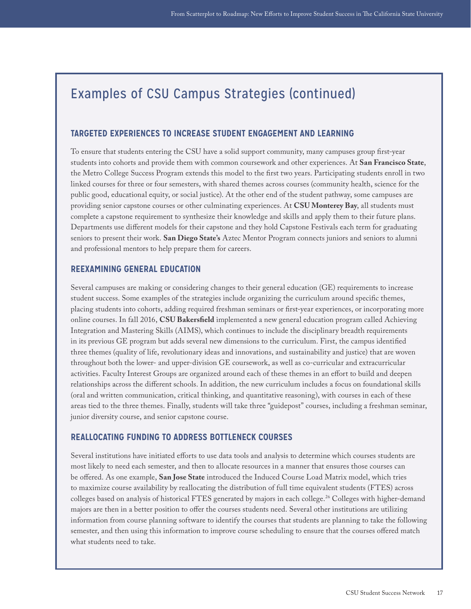### Examples of CSU Campus Strategies (continued)

#### **TARGETED EXPERIENCES TO INCREASE STUDENT ENGAGEMENT AND LEARNING**

To ensure that students entering the CSU have a solid support community, many campuses group first-year students into cohorts and provide them with common coursework and other experiences. At **San Francisco State**, the Metro College Success Program extends this model to the first two years. Participating students enroll in two linked courses for three or four semesters, with shared themes across courses (community health, science for the public good, educational equity, or social justice). At the other end of the student pathway, some campuses are providing senior capstone courses or other culminating experiences. At **CSU Monterey Bay**, all students must complete a capstone requirement to synthesize their knowledge and skills and apply them to their future plans. Departments use different models for their capstone and they hold Capstone Festivals each term for graduating seniors to present their work. **San Diego State's** Aztec Mentor Program connects juniors and seniors to alumni and professional mentors to help prepare them for careers.

#### **REEXAMINING GENERAL EDUCATION**

Several campuses are making or considering changes to their general education (GE) requirements to increase student success. Some examples of the strategies include organizing the curriculum around specific themes, placing students into cohorts, adding required freshman seminars or first-year experiences, or incorporating more online courses. In fall 2016, **CSU Bakersfield** implemented a new general education program called Achieving Integration and Mastering Skills (AIMS), which continues to include the disciplinary breadth requirements in its previous GE program but adds several new dimensions to the curriculum. First, the campus identified three themes (quality of life, revolutionary ideas and innovations, and sustainability and justice) that are woven throughout both the lower- and upper-division GE coursework, as well as co-curricular and extracurricular activities. Faculty Interest Groups are organized around each of these themes in an effort to build and deepen relationships across the different schools. In addition, the new curriculum includes a focus on foundational skills (oral and written communication, critical thinking, and quantitative reasoning), with courses in each of these areas tied to the three themes. Finally, students will take three "guidepost" courses, including a freshman seminar, junior diversity course, and senior capstone course.

#### **REALLOCATING FUNDING TO ADDRESS BOTTLENECK COURSES**

Several institutions have initiated efforts to use data tools and analysis to determine which courses students are most likely to need each semester, and then to allocate resources in a manner that ensures those courses can be offered. As one example, **San Jose State** introduced the Induced Course Load Matrix model, which tries to maximize course availability by reallocating the distribution of full time equivalent students (FTES) across colleges based on analysis of historical FTES generated by majors in each college.<sup>[26](#page-30-7)</sup> Colleges with higher-demand majors are then in a better position to offer the courses students need. Several other institutions are utilizing information from course planning software to identify the courses that students are planning to take the following semester, and then using this information to improve course scheduling to ensure that the courses offered match what students need to take.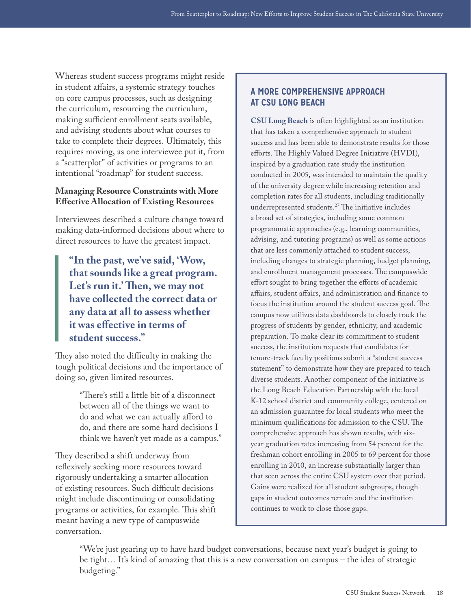Whereas student success programs might reside in student affairs, a systemic strategy touches on core campus processes, such as designing the curriculum, resourcing the curriculum, making sufficient enrollment seats available, and advising students about what courses to take to complete their degrees. Ultimately, this requires moving, as one interviewee put it, from a "scatterplot" of activities or programs to an intentional "roadmap" for student success.

#### **Managing Resource Constraints with More Effective Allocation of Existing Resources**

Interviewees described a culture change toward making data-informed decisions about where to direct resources to have the greatest impact.

**"In the past, we've said, 'Wow, that sounds like a great program. Let's run it.' Then, we may not have collected the correct data or any data at all to assess whether it was effective in terms of student success."**

They also noted the difficulty in making the tough political decisions and the importance of doing so, given limited resources.

> "There's still a little bit of a disconnect between all of the things we want to do and what we can actually afford to do, and there are some hard decisions I think we haven't yet made as a campus."

They described a shift underway from reflexively seeking more resources toward rigorously undertaking a smarter allocation of existing resources. Such difficult decisions might include discontinuing or consolidating programs or activities, for example. This shift meant having a new type of campuswide conversation.

#### **A MORE COMPREHENSIVE APPROACH AT CSU LONG BEACH**

**CSU Long Beach** is often highlighted as an institution that has taken a comprehensive approach to student success and has been able to demonstrate results for those efforts. The Highly Valued Degree Initiative (HVDI), inspired by a graduation rate study the institution conducted in 2005, was intended to maintain the quality of the university degree while increasing retention and completion rates for all students, including traditionally underrepresented students[.27](#page-30-8) The initiative includes a broad set of strategies, including some common programmatic approaches (e.g., learning communities, advising, and tutoring programs) as well as some actions that are less commonly attached to student success, including changes to strategic planning, budget planning, and enrollment management processes. The campuswide effort sought to bring together the efforts of academic affairs, student affairs, and administration and finance to focus the institution around the student success goal. The campus now utilizes data dashboards to closely track the progress of students by gender, ethnicity, and academic preparation. To make clear its commitment to student success, the institution requests that candidates for tenure-track faculty positions submit a "student success statement" to demonstrate how they are prepared to teach diverse students. Another component of the initiative is the Long Beach Education Partnership with the local K-12 school district and community college, centered on an admission guarantee for local students who meet the minimum qualifications for admission to the CSU. The comprehensive approach has shown results, with sixyear graduation rates increasing from 54 percent for the freshman cohort enrolling in 2005 to 69 percent for those enrolling in 2010, an increase substantially larger than that seen across the entire CSU system over that period. Gains were realized for all student subgroups, though gaps in student outcomes remain and the institution continues to work to close those gaps.

"We're just gearing up to have hard budget conversations, because next year's budget is going to be tight… It's kind of amazing that this is a new conversation on campus – the idea of strategic budgeting."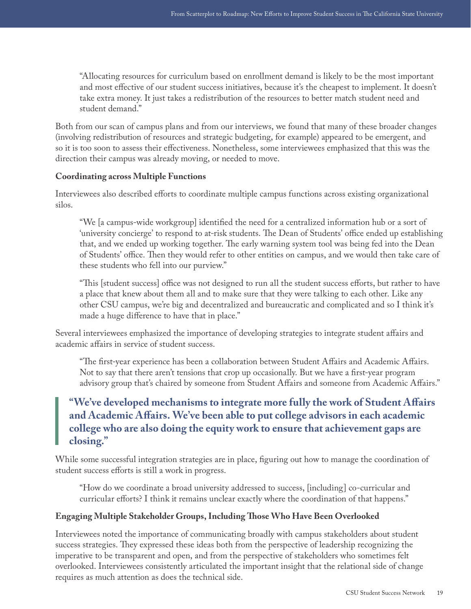"Allocating resources for curriculum based on enrollment demand is likely to be the most important and most effective of our student success initiatives, because it's the cheapest to implement. It doesn't take extra money. It just takes a redistribution of the resources to better match student need and student demand."

Both from our scan of campus plans and from our interviews, we found that many of these broader changes (involving redistribution of resources and strategic budgeting, for example) appeared to be emergent, and so it is too soon to assess their effectiveness. Nonetheless, some interviewees emphasized that this was the direction their campus was already moving, or needed to move.

#### **Coordinating across Multiple Functions**

Interviewees also described efforts to coordinate multiple campus functions across existing organizational silos.

"We [a campus-wide workgroup] identified the need for a centralized information hub or a sort of 'university concierge' to respond to at-risk students. The Dean of Students' office ended up establishing that, and we ended up working together. The early warning system tool was being fed into the Dean of Students' office. Then they would refer to other entities on campus, and we would then take care of these students who fell into our purview."

"This [student success] office was not designed to run all the student success efforts, but rather to have a place that knew about them all and to make sure that they were talking to each other. Like any other CSU campus, we're big and decentralized and bureaucratic and complicated and so I think it's made a huge difference to have that in place."

Several interviewees emphasized the importance of developing strategies to integrate student affairs and academic affairs in service of student success.

"The first-year experience has been a collaboration between Student Affairs and Academic Affairs. Not to say that there aren't tensions that crop up occasionally. But we have a first-year program advisory group that's chaired by someone from Student Affairs and someone from Academic Affairs."

### **"We've developed mechanisms to integrate more fully the work of Student Affairs and Academic Affairs. We've been able to put college advisors in each academic college who are also doing the equity work to ensure that achievement gaps are closing."**

While some successful integration strategies are in place, figuring out how to manage the coordination of student success efforts is still a work in progress.

"How do we coordinate a broad university addressed to success, [including] co-curricular and curricular efforts? I think it remains unclear exactly where the coordination of that happens."

#### **Engaging Multiple Stakeholder Groups, Including Those Who Have Been Overlooked**

Interviewees noted the importance of communicating broadly with campus stakeholders about student success strategies. They expressed these ideas both from the perspective of leadership recognizing the imperative to be transparent and open, and from the perspective of stakeholders who sometimes felt overlooked. Interviewees consistently articulated the important insight that the relational side of change requires as much attention as does the technical side.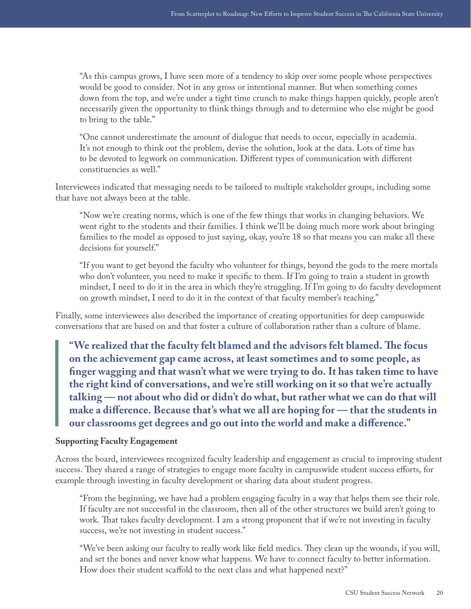"As this campus grows, I have seen more of a tendency to skip over some people whose perspectives would be good to consider. Not in any gross or intentional manner. But when something comes down from the top, and we're under a tight time crunch to make things happen quickly, people aren't necessarily given the opportunity to think things through and to determine who else might be good to bring to the table."

"One cannot underestimate the amount of dialogue that needs to occur, especially in academia. It's not enough to think out the problem, devise the solution, look at the data. Lots of time has to be devoted to legwork on communication. Different types of communication with different constituencies as well."

Interviewees indicated that messaging needs to be tailored to multiple stakeholder groups, including some that have not always been at the table.

"Now we're creating norms, which is one of the few things that works in changing behaviors. We went right to the students and their families. I think we'll be doing much more work about bringing families to the model as opposed to just saying, okay, you're 18 so that means you can make all these decisions for yourself."

"If you want to get beyond the faculty who volunteer for things, beyond the gods to the mere mortals who don't volunteer, you need to make it specific to them. If I'm going to train a student in growth mindset, I need to do it in the area in which they're struggling. If I'm going to do faculty development on growth mindset, I need to do it in the context of that faculty member's teaching."

Finally, some interviewees also described the importance of creating opportunities for deep campuswide conversations that are based on and that foster a culture of collaboration rather than a culture of blame.

**"We realized that the faculty felt blamed and the advisors felt blamed. The focus on the achievement gap came across, at least sometimes and to some people, as finger wagging and that wasn't what we were trying to do. It has taken time to have the right kind of conversations, and we're still working on it so that we're actually talking — not about who did or didn't do what, but rather what we can do that will make a difference. Because that's what we all are hoping for — that the students in our classrooms get degrees and go out into the world and make a difference."**

#### **Supporting Faculty Engagement**

Across the board, interviewees recognized faculty leadership and engagement as crucial to improving student success. They shared a range of strategies to engage more faculty in campuswide student success efforts, for example through investing in faculty development or sharing data about student progress.

"From the beginning, we have had a problem engaging faculty in a way that helps them see their role. If faculty are not successful in the classroom, then all of the other structures we build aren't going to work. That takes faculty development. I am a strong proponent that if we're not investing in faculty success, we're not investing in student success."

"We've been asking our faculty to really work like field medics. They clean up the wounds, if you will, and set the bones and never know what happens. We have to connect faculty to better information. How does their student scaffold to the next class and what happened next?"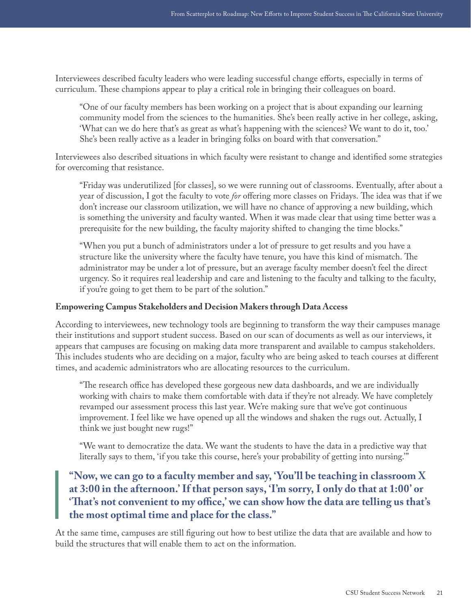Interviewees described faculty leaders who were leading successful change efforts, especially in terms of curriculum. These champions appear to play a critical role in bringing their colleagues on board.

"One of our faculty members has been working on a project that is about expanding our learning community model from the sciences to the humanities. She's been really active in her college, asking, 'What can we do here that's as great as what's happening with the sciences? We want to do it, too.' She's been really active as a leader in bringing folks on board with that conversation."

Interviewees also described situations in which faculty were resistant to change and identified some strategies for overcoming that resistance.

"Friday was underutilized [for classes], so we were running out of classrooms. Eventually, after about a year of discussion, I got the faculty to vote *for* offering more classes on Fridays. The idea was that if we don't increase our classroom utilization, we will have no chance of approving a new building, which is something the university and faculty wanted. When it was made clear that using time better was a prerequisite for the new building, the faculty majority shifted to changing the time blocks."

"When you put a bunch of administrators under a lot of pressure to get results and you have a structure like the university where the faculty have tenure, you have this kind of mismatch. The administrator may be under a lot of pressure, but an average faculty member doesn't feel the direct urgency. So it requires real leadership and care and listening to the faculty and talking to the faculty, if you're going to get them to be part of the solution."

#### **Empowering Campus Stakeholders and Decision Makers through Data Access**

According to interviewees, new technology tools are beginning to transform the way their campuses manage their institutions and support student success. Based on our scan of documents as well as our interviews, it appears that campuses are focusing on making data more transparent and available to campus stakeholders. This includes students who are deciding on a major, faculty who are being asked to teach courses at different times, and academic administrators who are allocating resources to the curriculum.

"The research office has developed these gorgeous new data dashboards, and we are individually working with chairs to make them comfortable with data if they're not already. We have completely revamped our assessment process this last year. We're making sure that we've got continuous improvement. I feel like we have opened up all the windows and shaken the rugs out. Actually, I think we just bought new rugs!"

"We want to democratize the data. We want the students to have the data in a predictive way that literally says to them, 'if you take this course, here's your probability of getting into nursing.'"

### **"Now, we can go to a faculty member and say, 'You'll be teaching in classroom X at 3:00 in the afternoon.' If that person says, 'I'm sorry, I only do that at 1:00' or 'That's not convenient to my office,' we can show how the data are telling us that's the most optimal time and place for the class."**

At the same time, campuses are still figuring out how to best utilize the data that are available and how to build the structures that will enable them to act on the information.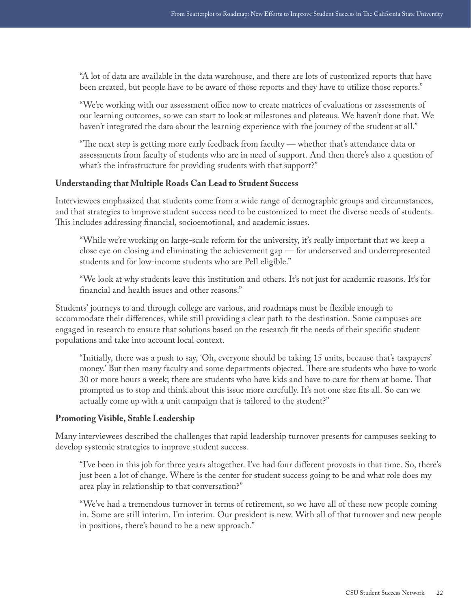"A lot of data are available in the data warehouse, and there are lots of customized reports that have been created, but people have to be aware of those reports and they have to utilize those reports."

"We're working with our assessment office now to create matrices of evaluations or assessments of our learning outcomes, so we can start to look at milestones and plateaus. We haven't done that. We haven't integrated the data about the learning experience with the journey of the student at all."

"The next step is getting more early feedback from faculty — whether that's attendance data or assessments from faculty of students who are in need of support. And then there's also a question of what's the infrastructure for providing students with that support?"

#### **Understanding that Multiple Roads Can Lead to Student Success**

Interviewees emphasized that students come from a wide range of demographic groups and circumstances, and that strategies to improve student success need to be customized to meet the diverse needs of students. This includes addressing financial, socioemotional, and academic issues.

"While we're working on large-scale reform for the university, it's really important that we keep a close eye on closing and eliminating the achievement gap — for underserved and underrepresented students and for low-income students who are Pell eligible."

"We look at why students leave this institution and others. It's not just for academic reasons. It's for financial and health issues and other reasons."

Students' journeys to and through college are various, and roadmaps must be flexible enough to accommodate their differences, while still providing a clear path to the destination. Some campuses are engaged in research to ensure that solutions based on the research fit the needs of their specific student populations and take into account local context.

"Initially, there was a push to say, 'Oh, everyone should be taking 15 units, because that's taxpayers' money.' But then many faculty and some departments objected. There are students who have to work 30 or more hours a week; there are students who have kids and have to care for them at home. That prompted us to stop and think about this issue more carefully. It's not one size fits all. So can we actually come up with a unit campaign that is tailored to the student?"

#### **Promoting Visible, Stable Leadership**

Many interviewees described the challenges that rapid leadership turnover presents for campuses seeking to develop systemic strategies to improve student success.

"I've been in this job for three years altogether. I've had four different provosts in that time. So, there's just been a lot of change. Where is the center for student success going to be and what role does my area play in relationship to that conversation?"

"We've had a tremendous turnover in terms of retirement, so we have all of these new people coming in. Some are still interim. I'm interim. Our president is new. With all of that turnover and new people in positions, there's bound to be a new approach."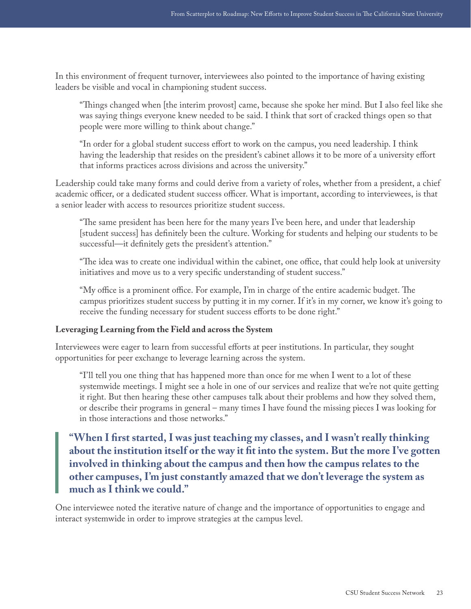In this environment of frequent turnover, interviewees also pointed to the importance of having existing leaders be visible and vocal in championing student success.

"Things changed when [the interim provost] came, because she spoke her mind. But I also feel like she was saying things everyone knew needed to be said. I think that sort of cracked things open so that people were more willing to think about change."

"In order for a global student success effort to work on the campus, you need leadership. I think having the leadership that resides on the president's cabinet allows it to be more of a university effort that informs practices across divisions and across the university."

Leadership could take many forms and could derive from a variety of roles, whether from a president, a chief academic officer, or a dedicated student success officer. What is important, according to interviewees, is that a senior leader with access to resources prioritize student success.

"The same president has been here for the many years I've been here, and under that leadership [student success] has definitely been the culture. Working for students and helping our students to be successful—it definitely gets the president's attention."

"The idea was to create one individual within the cabinet, one office, that could help look at university initiatives and move us to a very specific understanding of student success."

"My office is a prominent office. For example, I'm in charge of the entire academic budget. The campus prioritizes student success by putting it in my corner. If it's in my corner, we know it's going to receive the funding necessary for student success efforts to be done right."

#### **Leveraging Learning from the Field and across the System**

Interviewees were eager to learn from successful efforts at peer institutions. In particular, they sought opportunities for peer exchange to leverage learning across the system.

"I'll tell you one thing that has happened more than once for me when I went to a lot of these systemwide meetings. I might see a hole in one of our services and realize that we're not quite getting it right. But then hearing these other campuses talk about their problems and how they solved them, or describe their programs in general – many times I have found the missing pieces I was looking for in those interactions and those networks."

**"When I first started, I was just teaching my classes, and I wasn't really thinking about the institution itself or the way it fit into the system. But the more I've gotten involved in thinking about the campus and then how the campus relates to the other campuses, I'm just constantly amazed that we don't leverage the system as much as I think we could."**

One interviewee noted the iterative nature of change and the importance of opportunities to engage and interact systemwide in order to improve strategies at the campus level.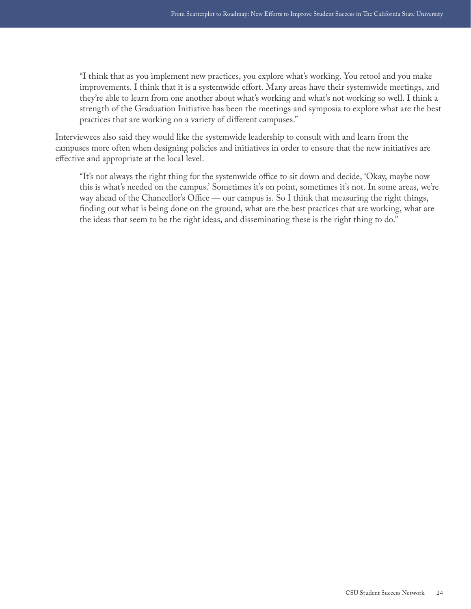"I think that as you implement new practices, you explore what's working. You retool and you make improvements. I think that it is a systemwide effort. Many areas have their systemwide meetings, and they're able to learn from one another about what's working and what's not working so well. I think a strength of the Graduation Initiative has been the meetings and symposia to explore what are the best practices that are working on a variety of different campuses."

Interviewees also said they would like the systemwide leadership to consult with and learn from the campuses more often when designing policies and initiatives in order to ensure that the new initiatives are effective and appropriate at the local level.

"It's not always the right thing for the systemwide office to sit down and decide, 'Okay, maybe now this is what's needed on the campus.' Sometimes it's on point, sometimes it's not. In some areas, we're way ahead of the Chancellor's Office — our campus is. So I think that measuring the right things, finding out what is being done on the ground, what are the best practices that are working, what are the ideas that seem to be the right ideas, and disseminating these is the right thing to do."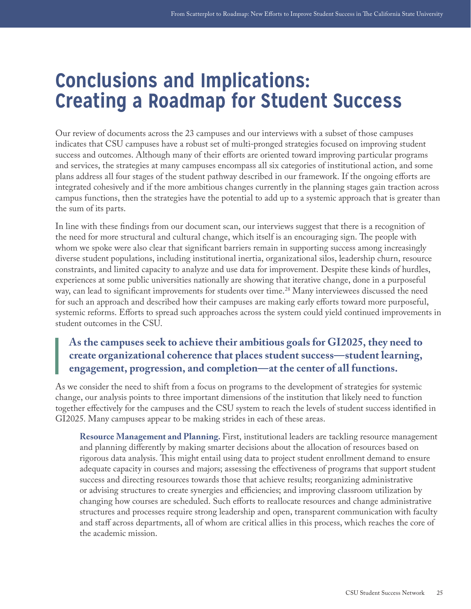## <span id="page-25-0"></span>**Conclusions and Implications: Creating a Roadmap for Student Success**

Our review of documents across the 23 campuses and our interviews with a subset of those campuses indicates that CSU campuses have a robust set of multi-pronged strategies focused on improving student success and outcomes. Although many of their efforts are oriented toward improving particular programs and services, the strategies at many campuses encompass all six categories of institutional action, and some plans address all four stages of the student pathway described in our framework. If the ongoing efforts are integrated cohesively and if the more ambitious changes currently in the planning stages gain traction across campus functions, then the strategies have the potential to add up to a systemic approach that is greater than the sum of its parts.

In line with these findings from our document scan, our interviews suggest that there is a recognition of the need for more structural and cultural change, which itself is an encouraging sign. The people with whom we spoke were also clear that significant barriers remain in supporting success among increasingly diverse student populations, including institutional inertia, organizational silos, leadership churn, resource constraints, and limited capacity to analyze and use data for improvement. Despite these kinds of hurdles, experiences at some public universities nationally are showing that iterative change, done in a purposeful way, can lead to significant improvements for students over time.<sup>28</sup> Many interviewees discussed the need for such an approach and described how their campuses are making early efforts toward more purposeful, systemic reforms. Efforts to spread such approaches across the system could yield continued improvements in student outcomes in the CSU.

### **As the campuses seek to achieve their ambitious goals for GI2025, they need to create organizational coherence that places student success—student learning, engagement, progression, and completion—at the center of all functions.**

As we consider the need to shift from a focus on programs to the development of strategies for systemic change, our analysis points to three important dimensions of the institution that likely need to function together effectively for the campuses and the CSU system to reach the levels of student success identified in GI2025. Many campuses appear to be making strides in each of these areas.

**Resource Management and Planning.** First, institutional leaders are tackling resource management and planning differently by making smarter decisions about the allocation of resources based on rigorous data analysis. This might entail using data to project student enrollment demand to ensure adequate capacity in courses and majors; assessing the effectiveness of programs that support student success and directing resources towards those that achieve results; reorganizing administrative or advising structures to create synergies and efficiencies; and improving classroom utilization by changing how courses are scheduled. Such efforts to reallocate resources and change administrative structures and processes require strong leadership and open, transparent communication with faculty and staff across departments, all of whom are critical allies in this process, which reaches the core of the academic mission.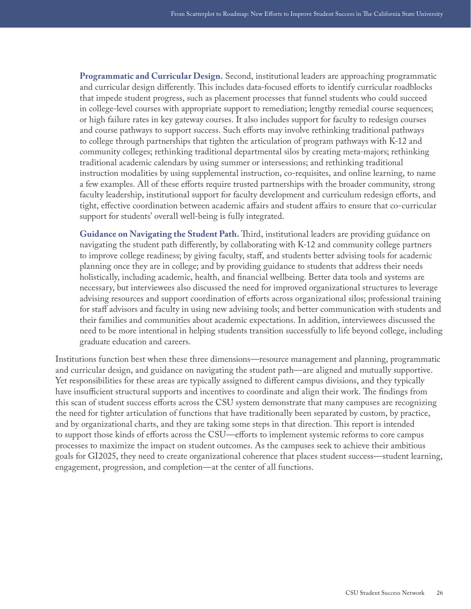**Programmatic and Curricular Design.** Second, institutional leaders are approaching programmatic and curricular design differently. This includes data-focused efforts to identify curricular roadblocks that impede student progress, such as placement processes that funnel students who could succeed in college-level courses with appropriate support to remediation; lengthy remedial course sequences; or high failure rates in key gateway courses. It also includes support for faculty to redesign courses and course pathways to support success. Such efforts may involve rethinking traditional pathways to college through partnerships that tighten the articulation of program pathways with K-12 and community colleges; rethinking traditional departmental silos by creating meta-majors; rethinking traditional academic calendars by using summer or intersessions; and rethinking traditional instruction modalities by using supplemental instruction, co-requisites, and online learning, to name a few examples. All of these efforts require trusted partnerships with the broader community, strong faculty leadership, institutional support for faculty development and curriculum redesign efforts, and tight, effective coordination between academic affairs and student affairs to ensure that co-curricular support for students' overall well-being is fully integrated.

**Guidance on Navigating the Student Path.** Third, institutional leaders are providing guidance on navigating the student path differently, by collaborating with K-12 and community college partners to improve college readiness; by giving faculty, staff, and students better advising tools for academic planning once they are in college; and by providing guidance to students that address their needs holistically, including academic, health, and financial wellbeing. Better data tools and systems are necessary, but interviewees also discussed the need for improved organizational structures to leverage advising resources and support coordination of efforts across organizational silos; professional training for staff advisors and faculty in using new advising tools; and better communication with students and their families and communities about academic expectations. In addition, interviewees discussed the need to be more intentional in helping students transition successfully to life beyond college, including graduate education and careers.

Institutions function best when these three dimensions—resource management and planning, programmatic and curricular design, and guidance on navigating the student path—are aligned and mutually supportive. Yet responsibilities for these areas are typically assigned to different campus divisions, and they typically have insufficient structural supports and incentives to coordinate and align their work. The findings from this scan of student success efforts across the CSU system demonstrate that many campuses are recognizing the need for tighter articulation of functions that have traditionally been separated by custom, by practice, and by organizational charts, and they are taking some steps in that direction. This report is intended to support those kinds of efforts across the CSU—efforts to implement systemic reforms to core campus processes to maximize the impact on student outcomes. As the campuses seek to achieve their ambitious goals for GI2025, they need to create organizational coherence that places student success—student learning, engagement, progression, and completion—at the center of all functions.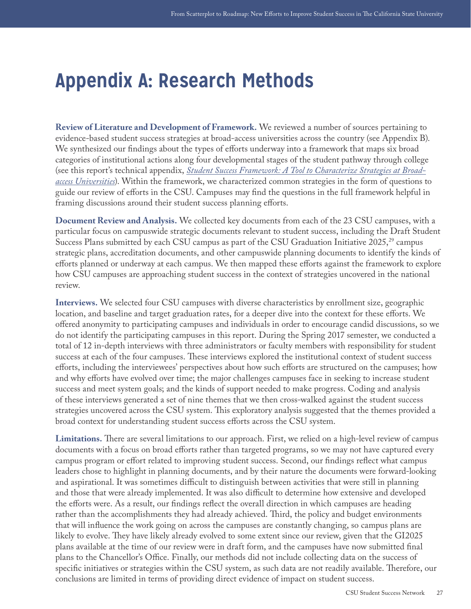## <span id="page-27-0"></span>**Appendix A: Research Methods**

**Review of Literature and Development of Framework.** We reviewed a number of sources pertaining to evidence-based student success strategies at broad-access universities across the country (see Appendix B). We synthesized our findings about the types of efforts underway into a framework that maps six broad categories of institutional actions along four developmental stages of the student pathway through college (see this report's technical appendix, *[Student Success Framework: A Tool to Characterize Strategies at Broad](http://csunetwork.edinsightscenter.org/Portals/2/Documents/Student_Success_Framework.pdf)[access Universities](http://csunetwork.edinsightscenter.org/Portals/2/Documents/Student_Success_Framework.pdf)*). Within the framework, we characterized common strategies in the form of questions to guide our review of efforts in the CSU. Campuses may find the questions in the full framework helpful in framing discussions around their student success planning efforts.

**Document Review and Analysis.** We collected key documents from each of the 23 CSU campuses, with a particular focus on campuswide strategic documents relevant to student success, including the Draft Student Success Plans submitted by each CSU campus as part of the CSU Graduation Initiative  $2025$ ,<sup>[29](#page-30-10)</sup> campus strategic plans, accreditation documents, and other campuswide planning documents to identify the kinds of efforts planned or underway at each campus. We then mapped these efforts against the framework to explore how CSU campuses are approaching student success in the context of strategies uncovered in the national review.

**Interviews.** We selected four CSU campuses with diverse characteristics by enrollment size, geographic location, and baseline and target graduation rates, for a deeper dive into the context for these efforts. We offered anonymity to participating campuses and individuals in order to encourage candid discussions, so we do not identify the participating campuses in this report. During the Spring 2017 semester, we conducted a total of 12 in-depth interviews with three administrators or faculty members with responsibility for student success at each of the four campuses. These interviews explored the institutional context of student success efforts, including the interviewees' perspectives about how such efforts are structured on the campuses; how and why efforts have evolved over time; the major challenges campuses face in seeking to increase student success and meet system goals; and the kinds of support needed to make progress. Coding and analysis of these interviews generated a set of nine themes that we then cross-walked against the student success strategies uncovered across the CSU system. This exploratory analysis suggested that the themes provided a broad context for understanding student success efforts across the CSU system.

**Limitations.** There are several limitations to our approach. First, we relied on a high-level review of campus documents with a focus on broad efforts rather than targeted programs, so we may not have captured every campus program or effort related to improving student success. Second, our findings reflect what campus leaders chose to highlight in planning documents, and by their nature the documents were forward-looking and aspirational. It was sometimes difficult to distinguish between activities that were still in planning and those that were already implemented. It was also difficult to determine how extensive and developed the efforts were. As a result, our findings reflect the overall direction in which campuses are heading rather than the accomplishments they had already achieved. Third, the policy and budget environments that will influence the work going on across the campuses are constantly changing, so campus plans are likely to evolve. They have likely already evolved to some extent since our review, given that the GI2025 plans available at the time of our review were in draft form, and the campuses have now submitted final plans to the Chancellor's Office. Finally, our methods did not include collecting data on the success of specific initiatives or strategies within the CSU system, as such data are not readily available. Therefore, our conclusions are limited in terms of providing direct evidence of impact on student success.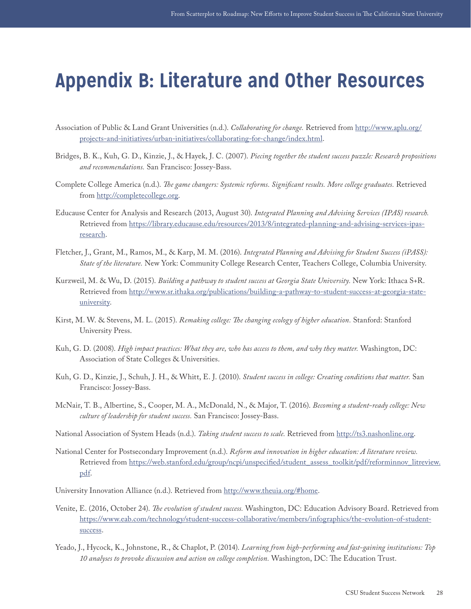## <span id="page-28-0"></span>**Appendix B: Literature and Other Resources**

- Association of Public & Land Grant Universities (n.d.). *Collaborating for change.* Retrieved from [http://www.aplu.org/](http://www.aplu.org/projects-and-initiatives/urban-initiatives/collaborating-for-change/index.html) [projects-and-initiatives/urban-initiatives/collaborating-for-change/index.html](http://www.aplu.org/projects-and-initiatives/urban-initiatives/collaborating-for-change/index.html).
- Bridges, B. K., Kuh, G. D., Kinzie, J., & Hayek, J. C. (2007). *Piecing together the student success puzzle: Research propositions and recommendations.* San Francisco: Jossey-Bass.
- Complete College America (n.d.). *The game changers: Systemic reforms. Significant results. More college graduates.* Retrieved from [http://completecollege.org.](http://completecollege.org)
- Educause Center for Analysis and Research (2013, August 30). *Integrated Planning and Advising Services (IPAS) research.*  Retrieved from [https://library.educause.edu/resources/2013/8/integrated-planning-and-advising-services-ipas](https://library.educause.edu/resources/2013/8/integrated-planning-and-advising-services-ipas-research)[research](https://library.educause.edu/resources/2013/8/integrated-planning-and-advising-services-ipas-research).
- Fletcher, J., Grant, M., Ramos, M., & Karp, M. M. (2016). *Integrated Planning and Advising for Student Success (iPASS): State of the literature.* New York: Community College Research Center, Teachers College, Columbia University.
- Kurzweil, M. & Wu, D. (2015). *Building a pathway to student success at Georgia State University.* New York: Ithaca S+R. Retrieved from [http://www.sr.ithaka.org/publications/building-a-pathway-to-student-success-at-georgia-state](http://www.sr.ithaka.org/publications/building-a-pathway-to-student-success-at-georgia-state-university)[university.](http://www.sr.ithaka.org/publications/building-a-pathway-to-student-success-at-georgia-state-university)
- Kirst, M. W. & Stevens, M. L. (2015). *Remaking college: The changing ecology of higher education.* Stanford: Stanford University Press.
- Kuh, G. D. (2008). *High impact practices: What they are, who has access to them, and why they matter.* Washington, DC: Association of State Colleges & Universities.
- Kuh, G. D., Kinzie, J., Schuh, J. H., & Whitt, E. J. (2010). *Student success in college: Creating conditions that matter.* San Francisco: Jossey-Bass.
- McNair, T. B., Albertine, S., Cooper, M. A., McDonald, N., & Major, T. (2016). *Becoming a student-ready college: New culture of leadership for student success.* San Francisco: Jossey-Bass.
- National Association of System Heads (n.d.). *Taking student success to scale.* Retrieved from [http://ts3.nashonline.org.](http://ts3.nashonline.org)
- National Center for Postsecondary Improvement (n.d.). *Reform and innovation in higher education: A literature review.* Retrieved from [https://web.stanford.edu/group/ncpi/unspecified/student\\_assess\\_toolkit/pdf/reforminnov\\_litreview.](https://web.stanford.edu/group/ncpi/unspecified/student_assess_toolkit/pdf/reforminnov_litreview.pdf) [pdf](https://web.stanford.edu/group/ncpi/unspecified/student_assess_toolkit/pdf/reforminnov_litreview.pdf).
- University Innovation Alliance (n.d.). Retrieved from <http://www.theuia.org/#home>.
- Venite, E. (2016, October 24). *The evolution of student success.* Washington, DC: Education Advisory Board. Retrieved from [https://www.eab.com/technology/student-success-collaborative/members/infographics/the-evolution-of-student](https://www.eab.com/technology/student-success-collaborative/members/infographics/the-evolution-of-student-success)[success](https://www.eab.com/technology/student-success-collaborative/members/infographics/the-evolution-of-student-success).
- Yeado, J., Hycock, K., Johnstone, R., & Chaplot, P. (2014). *Learning from high-performing and fast-gaining institutions: Top 10 analyses to provoke discussion and action on college completion.* Washington, DC: The Education Trust.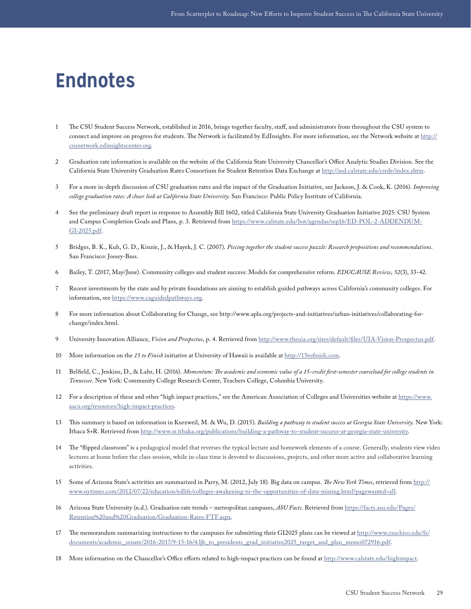## <span id="page-29-0"></span>**Endnotes**

- <span id="page-29-1"></span>1 The CSU Student Success Network, established in 2016, brings together faculty, staff, and administrators from throughout the CSU system to connect and improve on progress for students. The Network is facilitated by EdInsights. For more information, see the Network website at [http://](http://csunetwork.edinsightscenter.org) [csunetwork.edinsightscenter.org](http://csunetwork.edinsightscenter.org).
- <span id="page-29-2"></span>2 Graduation rate information is available on the website of the California State University Chancellor's Office Analytic Studies Division. See the California State University Graduation Rates Consortium for Student Retention Data Exchange at [http://asd.calstate.edu/csrde/index.shtm.](http://asd.calstate.edu/csrde/index.shtm)
- <span id="page-29-3"></span>3 For a more in-depth discussion of CSU graduation rates and the impact of the Graduation Initiative, see Jackson, J. & Cook, K. (2016). *Improving college graduation rates: A closer look at California State University*. San Francisco: Public Policy Institute of California.
- <span id="page-29-4"></span>4 See the preliminary draft report in response to Assembly Bill 1602, titled California State University Graduation Initiative 2025: CSU System and Campus Completion Goals and Plans, p. 3. Retrieved from [https://www.calstate.edu/bot/agendas/sep16/ED-POL-2-ADDENDUM-](https://www.calstate.edu/bot/agendas/sep16/ED-POL-2-ADDENDUM-GI-2025.pdf)[GI-2025.pdf.](https://www.calstate.edu/bot/agendas/sep16/ED-POL-2-ADDENDUM-GI-2025.pdf)
- <span id="page-29-5"></span>5 Bridges, B. K., Kuh, G. D., Kinzie, J., & Hayek, J. C. (2007). *Piecing together the student success puzzle: Research propositions and recommendations*. San Francisco: Jossey-Bass.
- <span id="page-29-6"></span>6 Bailey, T. (2017, May/June). Community colleges and student success: Models for comprehensive reform. *EDUCAUSE Review*, *52*(3), 33-42.
- <span id="page-29-7"></span>7 Recent investments by the state and by private foundations are aiming to establish guided pathways across California's community colleges. For information, see [https://www.caguidedpathways.org.](https://www.caguidedpathways.org)
- <span id="page-29-8"></span>8 For more information about Collaborating for Change, see http://www.aplu.org/projects-and-initiatives/urban-initiatives/collaborating-forchange/index.html.
- <span id="page-29-9"></span>9 University Innovation Alliance, *Vision and Prospectus*, p. 4. Retrieved from<http://www.theuia.org/sites/default/files/UIA-Vision-Prospectus.pdf>.
- <span id="page-29-10"></span>10 More information on the *15 to Finish* initiative at University of Hawaii is available at [http://15tofinish.com.](http://15tofinish.com)
- <span id="page-29-11"></span>11 Belfield, C., Jenkins, D., & Lahr, H. (2016). *Momentum: The academic and economic value of a 15-credit first-semester courseload for college students in Tennessee*. New York: Community College Research Center, Teachers College, Columbia University.
- <span id="page-29-12"></span>12 For a description of these and other "high impact practices," see the American Association of Colleges and Universities website at [https://www.](https://www.aacu.org/resources/high-impact-practices) [aacu.org/resources/high-impact-practices](https://www.aacu.org/resources/high-impact-practices).
- <span id="page-29-13"></span>13 This summary is based on information in Kurzweil, M. & Wu, D. (2015). *Building a pathway to student success at Georgia State University*. New York: Ithaca S+R. Retrieved from <http://www.sr.ithaka.org/publications/building-a-pathway-to-student-success-at-georgia-state-university>.
- <span id="page-29-14"></span>14 The "flipped classroom" is a pedagogical model that reverses the typical lecture and homework elements of a course. Generally, students view video lectures at home before the class session, while in-class time is devoted to discussions, projects, and other more active and collaborative learning activities.
- <span id="page-29-15"></span>15 Some of Arizona State's activities are summarized in Parry, M. (2012, July 18). Big data on campus. *The New York Times*, retrieved from [http://](http://www.nytimes.com/2012/07/22/education/edlife/colleges-awakening-to-the-opportunities-of-data-mining.html?pagewanted=all) [www.nytimes.com/2012/07/22/education/edlife/colleges-awakening-to-the-opportunities-of-data-mining.html?pagewanted=all](http://www.nytimes.com/2012/07/22/education/edlife/colleges-awakening-to-the-opportunities-of-data-mining.html?pagewanted=all).
- <span id="page-29-16"></span>16 Arizona State University (n.d.). Graduation rate trends – metropolitan campuses, *ASU Facts.* Retrieved from [https://facts.asu.edu/Pages/](https://facts.asu.edu/Pages/Retention%20and%20Graduation/Graduation-Rates-FTF.aspx) [Retention%20and%20Graduation/Graduation-Rates-FTF.aspx](https://facts.asu.edu/Pages/Retention%20and%20Graduation/Graduation-Rates-FTF.aspx).
- <span id="page-29-18"></span>17 The memorandum summarizing instructions to the campuses for submitting their GI2025 plans can be viewed at [http://www.csuchico.edu/fs/](http://www.csuchico.edu/fs/documents/academic_senate/2016-2017/9-15-16/4.ljb_to_presidents_grad_initiative2025_target_and_plan_memo072916.pdf) [documents/academic\\_senate/2016-2017/9-15-16/4.ljb\\_to\\_presidents\\_grad\\_initiative2025\\_target\\_and\\_plan\\_memo072916.pdf.](http://www.csuchico.edu/fs/documents/academic_senate/2016-2017/9-15-16/4.ljb_to_presidents_grad_initiative2025_target_and_plan_memo072916.pdf)
- <span id="page-29-17"></span>18 More information on the Chancellor's Office efforts related to high-impact practices can be found at<http://www.calstate.edu/highimpact>.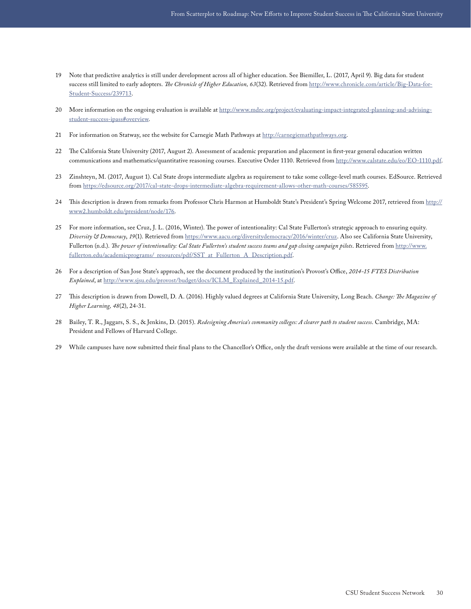- <span id="page-30-0"></span>19 Note that predictive analytics is still under development across all of higher education. See Biemiller, L. (2017, April 9). Big data for student success still limited to early adopters. *The Chronicle of Higher Education, 63*(32). Retrieved from [http://www.chronicle.com/article/Big-Data-for-](http://www.chronicle.com/article/Big-Data-for-Student-Success/239713)[Student-Success/239713](http://www.chronicle.com/article/Big-Data-for-Student-Success/239713).
- <span id="page-30-1"></span>20 More information on the ongoing evaluation is available at [http://www.mdrc.org/project/evaluating-impact-integrated-planning-and-advising](http://www.mdrc.org/project/evaluating-impact-integrated-planning-and-advising-student-success-ipass#overview)[student-success-ipass#overview](http://www.mdrc.org/project/evaluating-impact-integrated-planning-and-advising-student-success-ipass#overview).
- <span id="page-30-2"></span>21 For information on Statway, see the website for Carnegie Math Pathways at<http://carnegiemathpathways.org>.
- <span id="page-30-3"></span>22 The California State University (2017, August 2). Assessment of academic preparation and placement in first-year general education written communications and mathematics/quantitative reasoning courses. Executive Order 1110. Retrieved from [http://www.calstate.edu/eo/EO-1110.pdf.](http://www.calstate.edu/eo/EO-1110.pdf)
- <span id="page-30-4"></span>23 Zinshteyn, M. (2017, August 1). Cal State drops intermediate algebra as requirement to take some college-level math courses. EdSource. Retrieved from<https://edsource.org/2017/cal-state-drops-intermediate-algebra-requirement-allows-other-math-courses/585595>.
- <span id="page-30-5"></span>24 This description is drawn from remarks from Professor Chris Harmon at Humboldt State's President's Spring Welcome 2017, retrieved from [http://](http://www2.humboldt.edu/president/node/176) [www2.humboldt.edu/president/node/176.](http://www2.humboldt.edu/president/node/176)
- <span id="page-30-6"></span>25 For more information, see Cruz, J. L. (2016, Winter). The power of intentionality: Cal State Fullerton's strategic approach to ensuring equity. *Diversity & Democracy*, *19*(1). Retrieved from <https://www.aacu.org/diversitydemocracy/2016/winter/cruz>. Also see California State University, Fullerton (n.d.). *The power of intentionality: Cal State Fullerton's student success teams and gap closing campaign pilots*. Retrieved from [http://www.](http://www.fullerton.edu/academicprograms/_resources/pdf/SST_at_Fullerton_A_Description.pdf) [fullerton.edu/academicprograms/\\_resources/pdf/SST\\_at\\_Fullerton\\_A\\_Description.pdf](http://www.fullerton.edu/academicprograms/_resources/pdf/SST_at_Fullerton_A_Description.pdf).
- <span id="page-30-7"></span>26 For a description of San Jose State's approach, see the document produced by the institution's Provost's Office, *2014-15 FTES Distribution Explained*, at [http://www.sjsu.edu/provost/budget/docs/ICLM\\_Explained\\_2014-15.pdf.](http://www.sjsu.edu/provost/budget/docs/ICLM_Explained_2014-15.pdf)
- <span id="page-30-8"></span>27 This description is drawn from Dowell, D. A. (2016). Highly valued degrees at California State University, Long Beach. *Change: The Magazine of Higher Learning, 48*(2), 24-31.
- <span id="page-30-9"></span>28 Bailey, T. R., Jaggars, S. S., & Jenkins, D. (2015). *Redesigning America's community colleges: A clearer path to student success*. Cambridge, MA: President and Fellows of Harvard College.
- <span id="page-30-10"></span>29 While campuses have now submitted their final plans to the Chancellor's Office, only the draft versions were available at the time of our research.